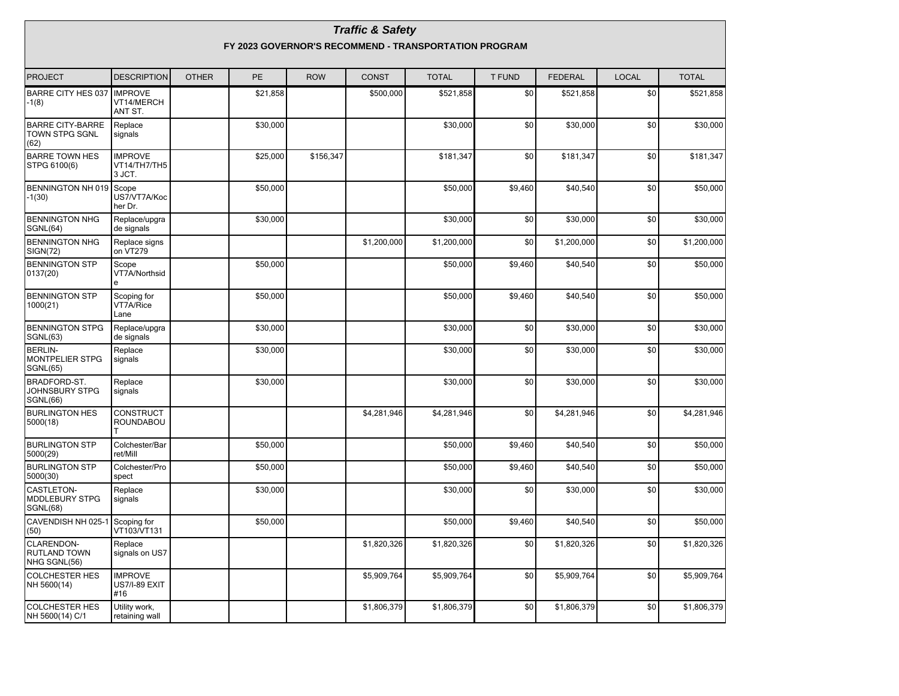|                                                             |                                                       |              |          |            | <b>Traffic &amp; Safety</b> |              |               |                |              |              |  |  |  |
|-------------------------------------------------------------|-------------------------------------------------------|--------------|----------|------------|-----------------------------|--------------|---------------|----------------|--------------|--------------|--|--|--|
|                                                             | FY 2023 GOVERNOR'S RECOMMEND - TRANSPORTATION PROGRAM |              |          |            |                             |              |               |                |              |              |  |  |  |
| PROJECT                                                     | <b>DESCRIPTION</b>                                    | <b>OTHER</b> | PE       | <b>ROW</b> | <b>CONST</b>                | <b>TOTAL</b> | <b>T FUND</b> | <b>FEDERAL</b> | <b>LOCAL</b> | <b>TOTAL</b> |  |  |  |
| BARRE CITY HES 037 IMPROVE<br>-1(8)                         | VT14/MERCH<br>ANT ST.                                 |              | \$21,858 |            | \$500,000                   | \$521,858    | \$0           | \$521,858      | \$0          | \$521,858    |  |  |  |
| <b>BARRE CITY-BARRE</b><br><b>TOWN STPG SGNL</b><br>(62)    | Replace<br>signals                                    |              | \$30,000 |            |                             | \$30,000     | \$0           | \$30,000       | \$0          | \$30,000     |  |  |  |
| <b>BARRE TOWN HES</b><br>STPG 6100(6)                       | <b>IMPROVE</b><br>VT14/TH7/TH5<br>3 JCT.              |              | \$25,000 | \$156,347  |                             | \$181,347    | \$0           | \$181.347      | \$0          | \$181,347    |  |  |  |
| BENNINGTON NH 019 Scope<br>$-1(30)$                         | US7/VT7A/Koc<br>her Dr.                               |              | \$50,000 |            |                             | \$50,000     | \$9,460       | \$40,540       | \$0          | \$50,000     |  |  |  |
| <b>BENNINGTON NHG</b><br>SGNL(64)                           | Replace/upgra<br>de signals                           |              | \$30,000 |            |                             | \$30,000     | \$0           | \$30,000       | \$0          | \$30,000     |  |  |  |
| <b>BENNINGTON NHG</b><br>SIGN(72)                           | Replace signs<br>on VT279                             |              |          |            | \$1,200,000                 | \$1,200,000  | \$0           | \$1,200,000    | \$0          | \$1,200,000  |  |  |  |
| <b>BENNINGTON STP</b><br>0137(20)                           | Scope<br>VT7A/Northsid<br>e                           |              | \$50,000 |            |                             | \$50,000     | \$9,460       | \$40,540       | \$0          | \$50,000     |  |  |  |
| <b>BENNINGTON STP</b><br>1000(21)                           | Scoping for<br>VT7A/Rice<br>Lane                      |              | \$50,000 |            |                             | \$50,000     | \$9,460       | \$40,540       | \$0          | \$50,000     |  |  |  |
| <b>BENNINGTON STPG</b><br><b>SGNL(63)</b>                   | Replace/upgra<br>de signals                           |              | \$30,000 |            |                             | \$30,000     | \$0           | \$30,000       | \$0          | \$30,000     |  |  |  |
| <b>BERLIN-</b><br><b>MONTPELIER STPG</b><br><b>SGNL(65)</b> | Replace<br>signals                                    |              | \$30,000 |            |                             | \$30,000     | \$0           | \$30,000       | \$0          | \$30,000     |  |  |  |
| BRADFORD-ST.<br>JOHNSBURY STPG<br>SGNL(66)                  | Replace<br>signals                                    |              | \$30,000 |            |                             | \$30,000     | \$0           | \$30,000       | \$0          | \$30,000     |  |  |  |
| <b>BURLINGTON HES</b><br>5000(18)                           | <b>CONSTRUCT</b><br>ROUNDABOU                         |              |          |            | \$4,281,946                 | \$4,281,946  | \$0           | \$4,281,946    | \$0          | \$4,281,946  |  |  |  |
| <b>BURLINGTON STP</b><br>5000(29)                           | Colchester/Bar<br>ret/Mill                            |              | \$50,000 |            |                             | \$50,000     | \$9,460       | \$40,540       | \$0          | \$50,000     |  |  |  |
| <b>BURLINGTON STP</b><br>5000(30)                           | Colchester/Pro<br>spect                               |              | \$50,000 |            |                             | \$50,000     | \$9,460       | \$40,540       | \$0          | \$50,000     |  |  |  |
| CASTLETON-<br><b>MDDLEBURY STPG</b><br>SGNL(68)             | Replace<br>signals                                    |              | \$30.000 |            |                             | \$30,000     | \$0           | \$30.000       | \$0          | \$30,000     |  |  |  |
| CAVENDISH NH 025-1<br>(50)                                  | Scoping for<br>VT103/VT131                            |              | \$50,000 |            |                             | \$50,000     | \$9,460       | \$40,540       | \$0          | \$50,000     |  |  |  |
| CLARENDON-<br><b>RUTLAND TOWN</b><br>NHG SGNL(56)           | Replace<br>signals on US7                             |              |          |            | \$1,820,326                 | \$1,820,326  | \$0           | \$1,820,326    | \$0          | \$1,820,326  |  |  |  |
| <b>COLCHESTER HES</b><br>NH 5600(14)                        | <b>IMPROVE</b><br><b>US7/I-89 EXIT</b><br>#16         |              |          |            | \$5,909,764                 | \$5,909,764  | \$0           | \$5,909,764    | \$0          | \$5,909,764  |  |  |  |
| <b>COLCHESTER HES</b><br>NH 5600(14) C/1                    | Utility work,<br>retaining wall                       |              |          |            | \$1,806,379                 | \$1,806,379  | \$0           | \$1,806,379    | $\$0$        | \$1,806,379  |  |  |  |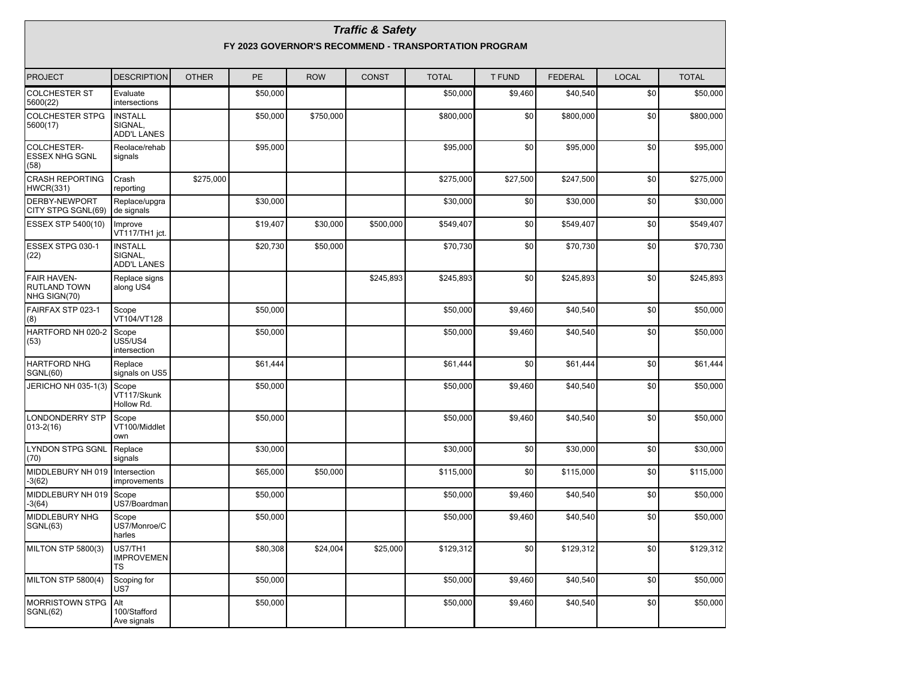| <b>Traffic &amp; Safety</b><br>FY 2023 GOVERNOR'S RECOMMEND - TRANSPORTATION PROGRAM |                                                 |              |          |            |              |              |          |                |              |              |  |
|--------------------------------------------------------------------------------------|-------------------------------------------------|--------------|----------|------------|--------------|--------------|----------|----------------|--------------|--------------|--|
| PROJECT                                                                              | <b>DESCRIPTION</b>                              | <b>OTHER</b> | PE       | <b>ROW</b> | <b>CONST</b> | <b>TOTAL</b> | T FUND   | <b>FEDERAL</b> | <b>LOCAL</b> | <b>TOTAL</b> |  |
| <b>COLCHESTER ST</b><br>5600(22)                                                     | Evaluate<br>intersections                       |              | \$50,000 |            |              | \$50,000     | \$9,460  | \$40,540       | \$0          | \$50,000     |  |
| <b>COLCHESTER STPG</b><br>5600(17)                                                   | <b>INSTALL</b><br>SIGNAL,<br><b>ADD'L LANES</b> |              | \$50,000 | \$750,000  |              | \$800,000    | \$0      | \$800,000      | \$0          | \$800,000    |  |
| COLCHESTER-<br><b>ESSEX NHG SGNL</b><br>(58)                                         | Reolace/rehab<br>signals                        |              | \$95,000 |            |              | \$95,000     | \$0      | \$95,000       | \$0          | \$95,000     |  |
| <b>CRASH REPORTING</b><br>HWCR(331)                                                  | Crash<br>reporting                              | \$275,000    |          |            |              | \$275,000    | \$27.500 | \$247,500      | \$0          | \$275,000    |  |
| DERBY-NEWPORT<br>CITY STPG SGNL(69)                                                  | Replace/upgra<br>de signals                     |              | \$30,000 |            |              | \$30,000     | \$0      | \$30,000       | \$0          | \$30,000     |  |
| ESSEX STP 5400(10)                                                                   | Improve<br>VT117/TH1 jct.                       |              | \$19,407 | \$30,000   | \$500,000    | \$549,407    | \$0      | \$549,407      | \$0          | \$549,407    |  |
| ESSEX STPG 030-1<br>(22)                                                             | <b>INSTALL</b><br>SIGNAL.<br><b>ADD'L LANES</b> |              | \$20,730 | \$50,000   |              | \$70.730     | \$0      | \$70,730       | \$0          | \$70,730     |  |
| <b>FAIR HAVEN-</b><br>RUTLAND TOWN<br>NHG SIGN(70)                                   | Replace signs<br>along US4                      |              |          |            | \$245,893    | \$245,893    | \$0      | \$245,893      | \$0          | \$245,893    |  |
| FAIRFAX STP 023-1<br>(8)                                                             | Scope<br>VT104/VT128                            |              | \$50,000 |            |              | \$50,000     | \$9,460  | \$40,540       | \$0          | \$50,000     |  |
| HARTFORD NH 020-2<br>(53)                                                            | Scope<br>US5/US4<br>intersection                |              | \$50,000 |            |              | \$50,000     | \$9,460  | \$40,540       | \$0          | \$50,000     |  |
| <b>HARTFORD NHG</b><br><b>SGNL(60)</b>                                               | Replace<br>signals on US5                       |              | \$61,444 |            |              | \$61,444     | \$0      | \$61,444       | \$0          | \$61,444     |  |
| JERICHO NH 035-1(3)                                                                  | Scope<br>VT117/Skunk<br>Hollow Rd.              |              | \$50,000 |            |              | \$50,000     | \$9,460  | \$40,540       | \$0          | \$50,000     |  |
| <b>LONDONDERRY STP</b><br>$013 - 2(16)$                                              | Scope<br>VT100/Middlet<br>own                   |              | \$50,000 |            |              | \$50,000     | \$9,460  | \$40,540       | \$0          | \$50,000     |  |
| <b>LYNDON STPG SGNL</b><br>(70)                                                      | Replace<br>signals                              |              | \$30,000 |            |              | \$30,000     | \$0      | \$30,000       | \$0          | \$30,000     |  |
| MIDDLEBURY NH 019<br>$-3(62)$                                                        | Intersection<br>improvements                    |              | \$65,000 | \$50,000   |              | \$115,000    | \$0      | \$115,000      | \$0          | \$115,000    |  |
| MIDDLEBURY NH 019 Scope<br>$-3(64)$                                                  | US7/Boardman                                    |              | \$50,000 |            |              | \$50,000     | \$9,460  | \$40,540       | \$0          | \$50,000     |  |
| MIDDLEBURY NHG<br>SGNL(63)                                                           | Scope<br>US7/Monroe/C<br>harles                 |              | \$50,000 |            |              | \$50,000     | \$9,460  | \$40,540       | \$0          | \$50,000     |  |
| MILTON STP 5800(3)                                                                   | US7/TH1<br><b>IMPROVEMEN</b><br>TS              |              | \$80,308 | \$24,004   | \$25,000     | \$129,312    | \$0      | \$129,312      | \$0          | \$129,312    |  |
| MILTON STP 5800(4)                                                                   | Scoping for<br>US7                              |              | \$50,000 |            |              | \$50,000     | \$9,460  | \$40,540       | \$0          | \$50,000     |  |
| <b>MORRISTOWN STPG</b><br>SGNL(62)                                                   | Alt<br>100/Stafford<br>Ave signals              |              | \$50,000 |            |              | \$50,000     | \$9,460  | \$40,540       | \$0          | \$50,000     |  |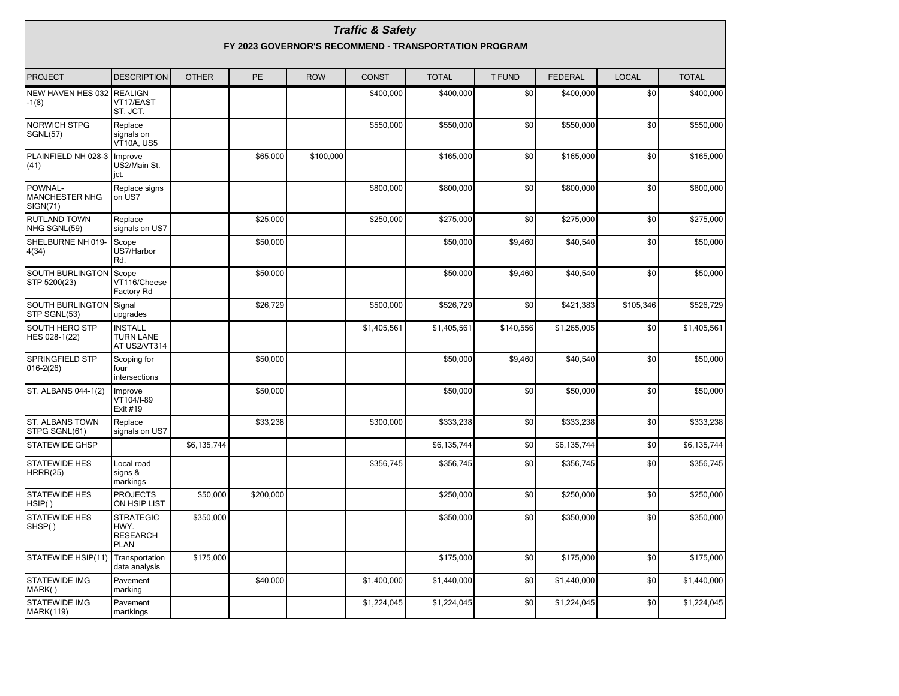|                                              |                                                       |              |           |            | <b>Traffic &amp; Safety</b> |              |           |                |              |              |  |  |  |
|----------------------------------------------|-------------------------------------------------------|--------------|-----------|------------|-----------------------------|--------------|-----------|----------------|--------------|--------------|--|--|--|
|                                              | FY 2023 GOVERNOR'S RECOMMEND - TRANSPORTATION PROGRAM |              |           |            |                             |              |           |                |              |              |  |  |  |
| PROJECT                                      | <b>DESCRIPTION</b>                                    | <b>OTHER</b> | PE        | <b>ROW</b> | <b>CONST</b>                | <b>TOTAL</b> | T FUND    | <b>FEDERAL</b> | <b>LOCAL</b> | <b>TOTAL</b> |  |  |  |
| NEW HAVEN HES 032 REALIGN<br>-1(8)           | VT17/EAST<br>ST. JCT.                                 |              |           |            | \$400,000                   | \$400,000    | \$0       | \$400,000      | \$0          | \$400,000    |  |  |  |
| <b>NORWICH STPG</b><br><b>SGNL(57)</b>       | Replace<br>signals on<br>VT10A. US5                   |              |           |            | \$550,000                   | \$550.000    | \$0       | \$550.000      | \$0          | \$550,000    |  |  |  |
| PLAINFIELD NH 028-3<br>(41)                  | Improve<br>US2/Main St.<br>jct.                       |              | \$65,000  | \$100,000  |                             | \$165,000    | \$0       | \$165,000      | \$0          | \$165,000    |  |  |  |
| POWNAL-<br><b>MANCHESTER NHG</b><br>SIGN(71) | Replace signs<br>on US7                               |              |           |            | \$800,000                   | \$800,000    | \$0       | \$800,000      | \$0          | \$800,000    |  |  |  |
| <b>RUTLAND TOWN</b><br>NHG SGNL(59)          | Replace<br>signals on US7                             |              | \$25,000  |            | \$250,000                   | \$275,000    | \$0       | \$275,000      | \$0          | \$275,000    |  |  |  |
| SHELBURNE NH 019-<br>4(34)                   | Scope<br>US7/Harbor<br>Rd.                            |              | \$50,000  |            |                             | \$50,000     | \$9,460   | \$40,540       | \$0          | \$50,000     |  |  |  |
| <b>SOUTH BURLINGTON</b><br>STP 5200(23)      | Scope<br>VT116/Cheese<br>Factory Rd                   |              | \$50,000  |            |                             | \$50,000     | \$9,460   | \$40,540       | \$0          | \$50,000     |  |  |  |
| SOUTH BURLINGTON<br>STP SGNL(53)             | Signal<br>upgrades                                    |              | \$26,729  |            | \$500,000                   | \$526,729    | \$0       | \$421,383      | \$105,346    | \$526,729    |  |  |  |
| <b>SOUTH HERO STP</b><br>HES 028-1(22)       | <b>INSTALL</b><br><b>TURN LANE</b><br>AT US2/VT314    |              |           |            | \$1,405,561                 | \$1,405,561  | \$140,556 | \$1,265,005    | \$0          | \$1,405,561  |  |  |  |
| SPRINGFIELD STP<br>$016 - 2(26)$             | Scoping for<br>four<br>intersections                  |              | \$50,000  |            |                             | \$50,000     | \$9,460   | \$40,540       | \$0          | \$50,000     |  |  |  |
| ST. ALBANS 044-1(2)                          | Improve<br>VT104/I-89<br>Exit #19                     |              | \$50,000  |            |                             | \$50,000     | \$0       | \$50,000       | \$0          | \$50,000     |  |  |  |
| ST. ALBANS TOWN<br>STPG SGNL(61)             | Replace<br>signals on US7                             |              | \$33,238  |            | \$300,000                   | \$333,238    | \$0       | \$333,238      | \$0          | \$333,238    |  |  |  |
| <b>STATEWIDE GHSP</b>                        |                                                       | \$6,135,744  |           |            |                             | \$6,135,744  | \$0       | \$6,135,744    | \$0          | \$6,135,744  |  |  |  |
| STATEWIDE HES<br><b>HRRR(25)</b>             | Local road<br>signs &<br>markings                     |              |           |            | \$356,745                   | \$356,745    | \$0       | \$356,745      | \$0          | \$356,745    |  |  |  |
| <b>STATEWIDE HES</b><br>HSIP()               | <b>PROJECTS</b><br>ON HSIP LIST                       | \$50,000     | \$200,000 |            |                             | \$250,000    | \$0       | \$250,000      | \$0          | \$250,000    |  |  |  |
| <b>STATEWIDE HES</b><br>SHSP()               | <b>STRATEGIC</b><br>HWY.<br><b>RESEARCH</b><br>PLAN   | \$350,000    |           |            |                             | \$350,000    | \$0       | \$350,000      | \$0          | \$350,000    |  |  |  |
| STATEWIDE HSIP(11) Transportation            | data analysis                                         | \$175,000    |           |            |                             | \$175,000    | \$0       | \$175,000      | \$0          | \$175,000    |  |  |  |
| <b>STATEWIDE IMG</b><br>MARK()               | Pavement<br>marking                                   |              | \$40,000  |            | \$1,400,000                 | \$1,440,000  | \$0       | \$1,440,000    | \$0          | \$1,440,000  |  |  |  |
| STATEWIDE IMG<br><b>MARK(119)</b>            | Pavement<br>martkings                                 |              |           |            | \$1,224,045                 | \$1,224,045  | \$0       | \$1,224,045    | \$0          | \$1,224,045  |  |  |  |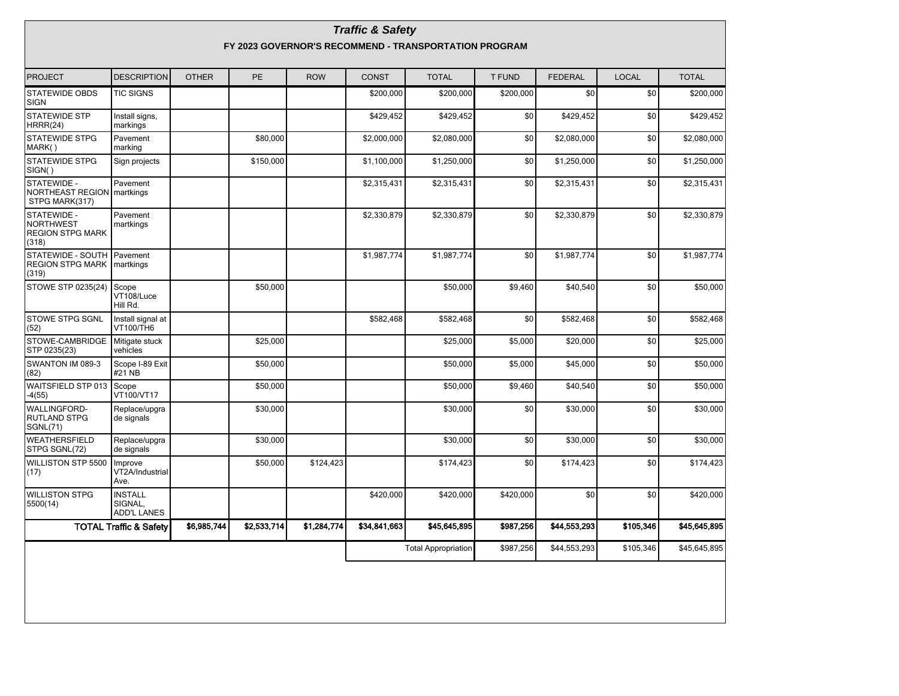| <b>Traffic &amp; Safety</b><br>FY 2023 GOVERNOR'S RECOMMEND - TRANSPORTATION PROGRAM |                                                 |              |             |             |              |                            |               |                |              |              |  |  |
|--------------------------------------------------------------------------------------|-------------------------------------------------|--------------|-------------|-------------|--------------|----------------------------|---------------|----------------|--------------|--------------|--|--|
| <b>PROJECT</b>                                                                       | <b>DESCRIPTION</b>                              | <b>OTHER</b> | <b>PE</b>   | <b>ROW</b>  | <b>CONST</b> | <b>TOTAL</b>               | <b>T FUND</b> | <b>FEDERAL</b> | <b>LOCAL</b> | <b>TOTAL</b> |  |  |
| <b>STATEWIDE OBDS</b><br><b>SIGN</b>                                                 | <b>TIC SIGNS</b>                                |              |             |             | \$200,000    | \$200,000                  | \$200,000     | \$0            | \$0          | \$200,000    |  |  |
| <b>STATEWIDE STP</b><br>HRRR(24)                                                     | Install signs,<br>markings                      |              |             |             | \$429,452    | \$429,452                  | \$0           | \$429,452      | \$0          | \$429,452    |  |  |
| <b>STATEWIDE STPG</b><br>MARK()                                                      | Pavement<br>marking                             |              | \$80.000    |             | \$2,000,000  | \$2,080,000                | \$0           | \$2,080,000    | \$0          | \$2,080,000  |  |  |
| <b>STATEWIDE STPG</b><br>SIGN()                                                      | Sign projects                                   |              | \$150,000   |             | \$1,100,000  | \$1,250,000                | \$0           | \$1,250,000    | \$0          | \$1,250,000  |  |  |
| STATEWIDE -<br><b>NORTHEAST REGION</b><br>STPG MARK(317)                             | Pavement<br>martkings                           |              |             |             | \$2,315,431  | \$2,315,431                | \$0           | \$2,315,431    | \$0          | \$2,315,431  |  |  |
| STATEWIDE -<br><b>NORTHWEST</b><br><b>REGION STPG MARK</b><br>(318)                  | Pavement<br>martkings                           |              |             |             | \$2,330,879  | \$2,330,879                | \$0           | \$2,330,879    | \$0          | \$2,330,879  |  |  |
| STATEWIDE - SOUTH<br><b>REGION STPG MARK</b><br>(319)                                | Pavement<br>martkings                           |              |             |             | \$1,987,774  | \$1,987,774                | \$0           | \$1,987,774    | \$0          | \$1,987,774  |  |  |
| STOWE STP 0235(24)                                                                   | Scope<br>VT108/Luce<br>Hill Rd.                 |              | \$50,000    |             |              | \$50,000                   | \$9,460       | \$40,540       | \$0          | \$50,000     |  |  |
| STOWE STPG SGNL<br>(52)                                                              | Install signal at<br>VT100/TH6                  |              |             |             | \$582,468    | \$582,468                  | \$0           | \$582,468      | \$0          | \$582,468    |  |  |
| STOWE-CAMBRIDGE<br>STP 0235(23)                                                      | Mitigate stuck<br>vehicles                      |              | \$25,000    |             |              | \$25,000                   | \$5,000       | \$20,000       | \$0          | \$25,000     |  |  |
| SWANTON IM 089-3<br>(82)                                                             | Scope I-89 Exit<br>#21 NB                       |              | \$50,000    |             |              | \$50,000                   | \$5,000       | \$45,000       | \$0          | \$50,000     |  |  |
| WAITSFIELD STP 013<br>$-4(55)$                                                       | Scope<br>VT100/VT17                             |              | \$50.000    |             |              | \$50,000                   | \$9,460       | \$40,540       | \$0          | \$50,000     |  |  |
| <b>WALLINGFORD-</b><br><b>RUTLAND STPG</b><br><b>SGNL(71)</b>                        | Replace/upgra<br>de signals                     |              | \$30,000    |             |              | \$30,000                   | \$0           | \$30,000       | \$0          | \$30,000     |  |  |
| <b>WEATHERSFIELD</b><br>STPG SGNL(72)                                                | Replace/upgra<br>de signals                     |              | \$30,000    |             |              | \$30,000                   | \$0           | \$30,000       | \$0          | \$30,000     |  |  |
| WILLISTON STP 5500<br>(17)                                                           | Improve<br>VT2A/Industrial<br>Ave.              |              | \$50,000    | \$124,423   |              | \$174,423                  | \$0           | \$174,423      | \$0          | \$174,423    |  |  |
| <b>WILLISTON STPG</b><br>5500(14)                                                    | <b>INSTALL</b><br>SIGNAL,<br><b>ADD'L LANES</b> |              |             |             | \$420,000    | \$420,000                  | \$420,000     | \$0            | \$0          | \$420,000    |  |  |
|                                                                                      | <b>TOTAL Traffic &amp; Safety</b>               | \$6,985,744  | \$2,533,714 | \$1,284,774 | \$34,841,663 | \$45,645,895               | \$987,256     | \$44,553,293   | \$105,346    | \$45,645,895 |  |  |
|                                                                                      |                                                 |              |             |             |              | <b>Total Appropriation</b> | \$987,256     | \$44,553,293   | \$105,346    | \$45,645,895 |  |  |
|                                                                                      |                                                 |              |             |             |              |                            |               |                |              |              |  |  |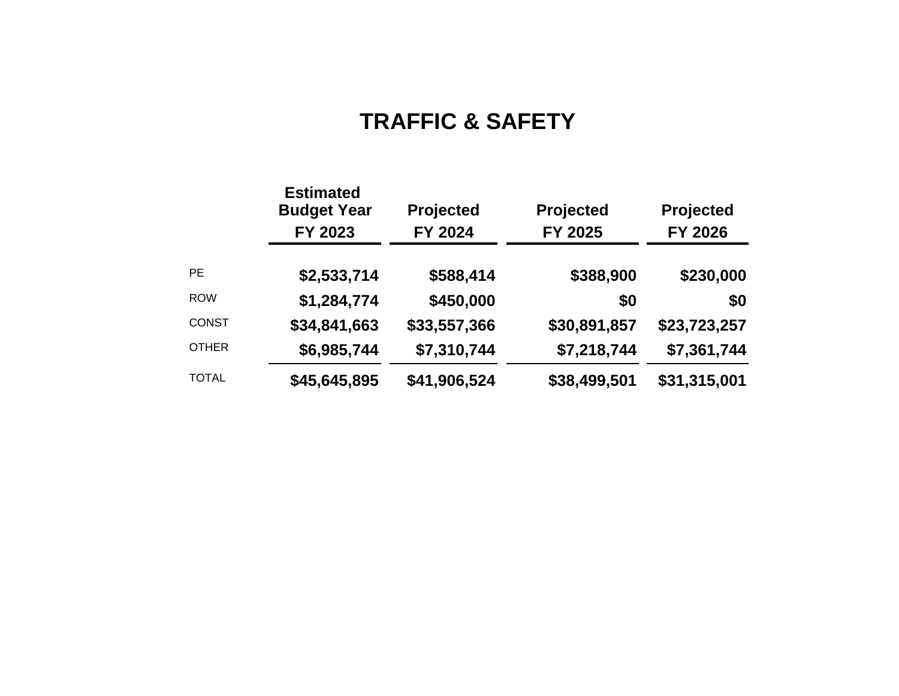# **TRAFFIC & SAFETY**

|              | <b>Estimated</b><br><b>Budget Year</b><br>FY 2023 | <b>Projected</b><br>FY 2024 | Projected<br>FY 2025 | <b>Projected</b><br>FY 2026 |
|--------------|---------------------------------------------------|-----------------------------|----------------------|-----------------------------|
| <b>PE</b>    | \$2,533,714                                       | \$588,414                   | \$388,900            | \$230,000                   |
| <b>ROW</b>   | \$1,284,774                                       | \$450,000                   | \$0                  | \$0                         |
| <b>CONST</b> | \$34,841,663                                      | \$33,557,366                | \$30,891,857         | \$23,723,257                |
| <b>OTHER</b> | \$6,985,744                                       | \$7,310,744                 | \$7,218,744          | \$7,361,744                 |
| <b>TOTAL</b> | \$45,645,895                                      | \$41,906,524                | \$38,499,501         | \$31,315,001                |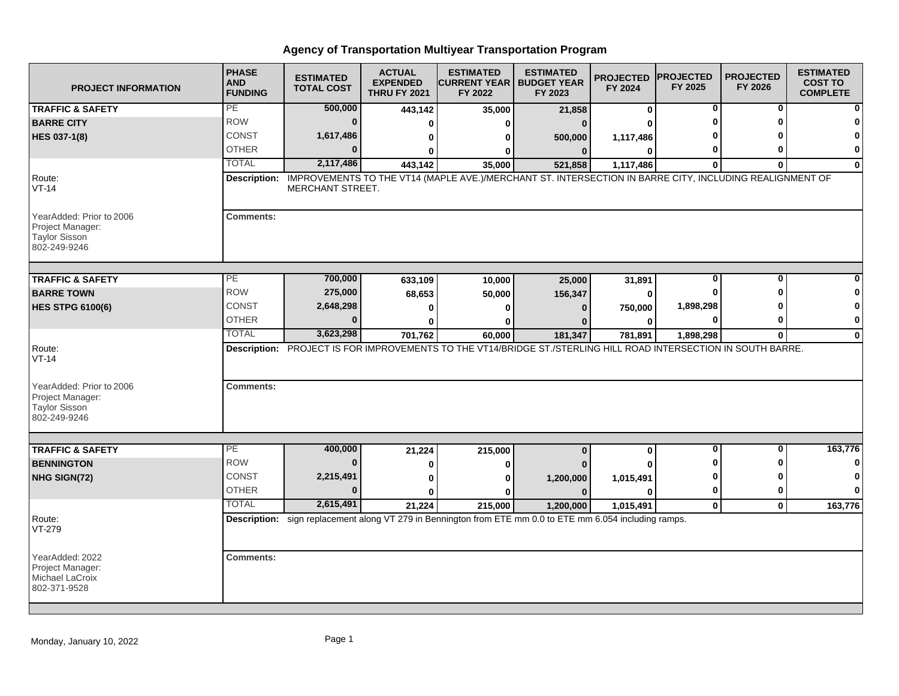| <b>PROJECT INFORMATION</b>                                                           | <b>PHASE</b><br><b>AND</b><br><b>FUNDING</b> | <b>ESTIMATED</b><br><b>TOTAL COST</b>                                                                                       | <b>ACTUAL</b><br><b>EXPENDED</b><br><b>THRU FY 2021</b> | <b>ESTIMATED</b><br><b>ICURRENT YEAR   BUDGET YEAR</b><br>FY 2022 | <b>ESTIMATED</b><br>FY 2023 | <b>PROJECTED</b><br>FY 2024 | <b>PROJECTED</b><br>FY 2025 | <b>PROJECTED</b><br>FY 2026 | <b>ESTIMATED</b><br><b>COST TO</b><br><b>COMPLETE</b> |
|--------------------------------------------------------------------------------------|----------------------------------------------|-----------------------------------------------------------------------------------------------------------------------------|---------------------------------------------------------|-------------------------------------------------------------------|-----------------------------|-----------------------------|-----------------------------|-----------------------------|-------------------------------------------------------|
| <b>TRAFFIC &amp; SAFETY</b>                                                          | PE                                           | 500,000                                                                                                                     | 443,142                                                 | 35,000                                                            | 21,858                      | 0                           | 0                           | 0                           | $\mathbf{0}$                                          |
| <b>BARRE CITY</b>                                                                    | <b>ROW</b>                                   | $\mathbf{0}$                                                                                                                | 0                                                       | 0                                                                 | $\Omega$                    | O                           | ŋ                           |                             | 0                                                     |
| <b>HES 037-1(8)</b>                                                                  | CONST                                        | 1,617,486                                                                                                                   | 0                                                       | 0                                                                 | 500,000                     | 1,117,486                   |                             |                             | 0                                                     |
|                                                                                      | <b>OTHER</b>                                 | $\Omega$                                                                                                                    | $\bf{0}$                                                | 0                                                                 | $\bf{0}$                    | $\Omega$                    | 0                           |                             | $\mathbf{0}$                                          |
|                                                                                      | <b>TOTAL</b>                                 | 2,117,486                                                                                                                   | 443.142                                                 | 35,000                                                            | 521,858                     | 1,117,486                   | $\mathbf{0}$                | 0                           | $\mathbf{0}$                                          |
| Route:<br>$VT-14$                                                                    | Description:                                 | IMPROVEMENTS TO THE VT14 (MAPLE AVE.)/MERCHANT ST. INTERSECTION IN BARRE CITY, INCLUDING REALIGNMENT OF<br>MERCHANT STREET. |                                                         |                                                                   |                             |                             |                             |                             |                                                       |
| YearAdded: Prior to 2006<br>Project Manager:<br><b>Taylor Sisson</b><br>802-249-9246 | <b>Comments:</b>                             |                                                                                                                             |                                                         |                                                                   |                             |                             |                             |                             |                                                       |
| <b>TRAFFIC &amp; SAFETY</b>                                                          | PE                                           | 700,000                                                                                                                     | 633,109                                                 | 10,000                                                            | 25,000                      | 31,891                      | 0                           | $\bf{0}$                    | $\Omega$                                              |
| <b>BARRE TOWN</b>                                                                    | <b>ROW</b>                                   | 275,000                                                                                                                     | 68,653                                                  | 50,000                                                            | 156,347                     | 0                           | ŋ                           |                             | $\mathbf{0}$                                          |
| <b>HES STPG 6100(6)</b>                                                              | <b>CONST</b>                                 | 2,648,298                                                                                                                   | 0                                                       | $\bf{0}$                                                          | $\bf{0}$                    | 750,000                     | 1,898,298                   |                             | $\mathbf{0}$                                          |
|                                                                                      | <b>OTHER</b>                                 |                                                                                                                             | 0                                                       | $\mathbf{0}$                                                      | n                           | 0                           | 0                           |                             | $\mathbf{0}$                                          |
|                                                                                      | <b>TOTAL</b>                                 | 3,623,298                                                                                                                   | 701,762                                                 | 60,000                                                            | 181,347                     | 781,891                     | 1,898,298                   | $\bf{0}$                    | $\mathbf{0}$                                          |
| Route:<br>$VT-14$<br>YearAdded: Prior to 2006<br>Project Manager:<br>Taylor Sisson   | <b>Comments:</b>                             | Description: PROJECT IS FOR IMPROVEMENTS TO THE VT14/BRIDGE ST./STERLING HILL ROAD INTERSECTION IN SOUTH BARRE.             |                                                         |                                                                   |                             |                             |                             |                             |                                                       |
| 802-249-9246                                                                         |                                              |                                                                                                                             |                                                         |                                                                   |                             |                             |                             |                             |                                                       |
| <b>TRAFFIC &amp; SAFETY</b>                                                          | PE                                           | 400,000                                                                                                                     | 21,224                                                  | 215,000                                                           | $\bf{0}$                    | 0                           | 0                           | 0                           | 163,776                                               |
| <b>BENNINGTON</b>                                                                    | <b>ROW</b>                                   |                                                                                                                             | 0                                                       | 0                                                                 | $\Omega$                    |                             |                             |                             | $\mathbf{0}$                                          |
| NHG SIGN(72)                                                                         | <b>CONST</b>                                 | 2,215,491                                                                                                                   | 0                                                       | 0                                                                 | 1,200,000                   | 1,015,491                   | 0                           |                             | $\mathbf{0}$                                          |
|                                                                                      | <b>OTHER</b>                                 | $\Omega$                                                                                                                    | $\bf{0}$                                                | O                                                                 | $\mathbf{0}$                | $\Omega$                    | 0                           |                             | $\mathbf{0}$                                          |
|                                                                                      | <b>TOTAL</b>                                 | 2,615,491                                                                                                                   | 21,224                                                  | 215,000                                                           | 1,200,000                   | 1,015,491                   | $\mathbf{0}$                | $\mathbf{0}$                | 163,776                                               |
| Route:<br>VT-279                                                                     |                                              | Description: sign replacement along VT 279 in Bennington from ETE mm 0.0 to ETE mm 6.054 including ramps.                   |                                                         |                                                                   |                             |                             |                             |                             |                                                       |
| YearAdded: 2022<br>Project Manager:<br>Michael LaCroix<br>802-371-9528               | <b>Comments:</b>                             |                                                                                                                             |                                                         |                                                                   |                             |                             |                             |                             |                                                       |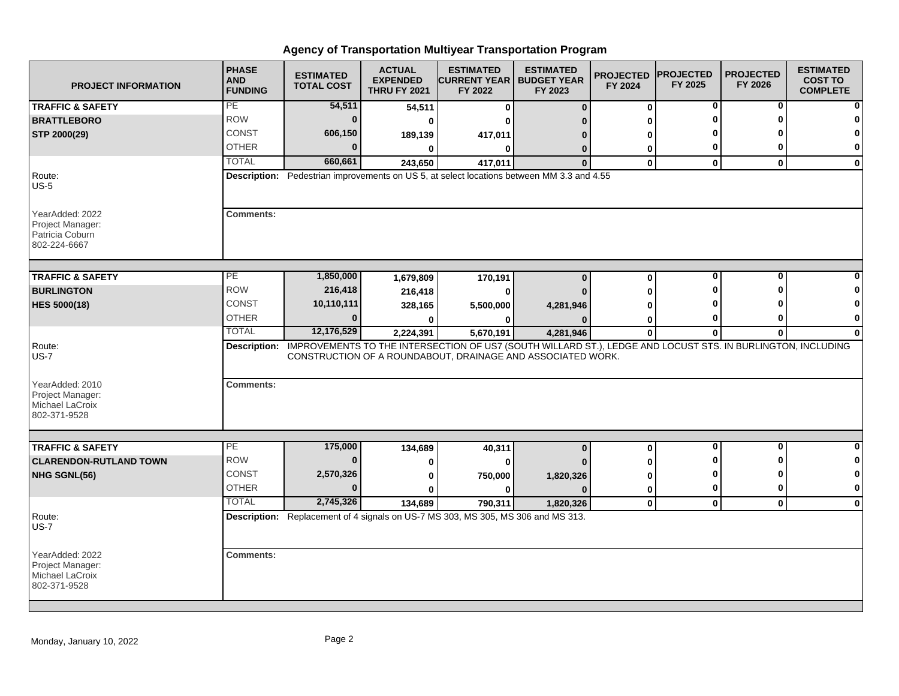| <b>PROJECT INFORMATION</b>                                             | <b>PHASE</b><br><b>AND</b><br><b>FUNDING</b> | <b>ESTIMATED</b><br><b>TOTAL COST</b> | <b>ACTUAL</b><br><b>EXPENDED</b><br><b>THRU FY 2021</b> | <b>ESTIMATED</b><br><b>CURRENT YEAR   BUDGET YEAR</b><br>FY 2022                 | <b>ESTIMATED</b><br>FY 2023                                                                                                                                                             | <b>PROJECTED</b><br>FY 2024 | <b>PROJECTED</b><br>FY 2025 | <b>PROJECTED</b><br>FY 2026 | <b>ESTIMATED</b><br><b>COST TO</b><br><b>COMPLETE</b> |
|------------------------------------------------------------------------|----------------------------------------------|---------------------------------------|---------------------------------------------------------|----------------------------------------------------------------------------------|-----------------------------------------------------------------------------------------------------------------------------------------------------------------------------------------|-----------------------------|-----------------------------|-----------------------------|-------------------------------------------------------|
| <b>TRAFFIC &amp; SAFETY</b>                                            | PE                                           | 54,511                                | 54,511                                                  | $\bf{0}$                                                                         | $\Omega$                                                                                                                                                                                | $\bf{0}$                    | 0                           | 0                           |                                                       |
| <b>BRATTLEBORO</b>                                                     | <b>ROW</b>                                   | $\mathbf 0$                           | 0                                                       |                                                                                  |                                                                                                                                                                                         | 0                           |                             |                             |                                                       |
| STP 2000(29)                                                           | <b>CONST</b>                                 | 606,150                               | 189,139                                                 | 417,011                                                                          |                                                                                                                                                                                         | 0                           |                             |                             |                                                       |
|                                                                        | <b>OTHER</b>                                 | $\Omega$                              | 0                                                       | ŋ                                                                                | n                                                                                                                                                                                       | 0                           | 0                           | 0                           | 0                                                     |
|                                                                        | <b>TOTAL</b>                                 | 660,661                               | 243,650                                                 | 417,011                                                                          | $\Omega$                                                                                                                                                                                | $\bf{0}$                    | $\bf{0}$                    | $\mathbf{0}$                | $\bf{0}$                                              |
| Route:<br>$US-5$                                                       |                                              |                                       |                                                         |                                                                                  | Description: Pedestrian improvements on US 5, at select locations between MM 3.3 and 4.55                                                                                               |                             |                             |                             |                                                       |
| YearAdded: 2022<br>Project Manager:<br>Patricia Coburn<br>802-224-6667 | <b>Comments:</b>                             |                                       |                                                         |                                                                                  |                                                                                                                                                                                         |                             |                             |                             |                                                       |
| <b>TRAFFIC &amp; SAFETY</b>                                            | PE                                           | 1,850,000                             | 1,679,809                                               | 170,191                                                                          | $\Omega$                                                                                                                                                                                | $\pmb{0}$                   | $\bf{0}$                    | $\bf{0}$                    |                                                       |
| <b>BURLINGTON</b>                                                      | <b>ROW</b>                                   | 216,418                               | 216,418                                                 |                                                                                  |                                                                                                                                                                                         | ŋ                           |                             | n                           |                                                       |
| <b>HES 5000(18)</b>                                                    | CONST                                        | 10,110,111                            | 328,165                                                 | 5,500,000                                                                        | 4,281,946                                                                                                                                                                               |                             |                             |                             |                                                       |
|                                                                        | <b>OTHER</b>                                 | $\bf{0}$                              |                                                         |                                                                                  |                                                                                                                                                                                         | 0                           | 0                           | 0                           | 0                                                     |
|                                                                        | <b>TOTAL</b>                                 | 12,176,529                            | 2,224,391                                               | 5,670,191                                                                        | 4,281,946                                                                                                                                                                               | $\bf{0}$                    | $\bf{0}$                    | $\mathbf{0}$                | $\bf{0}$                                              |
| Route:<br>$US-7$<br>YearAdded: 2010<br>Project Manager:                | <b>Comments:</b>                             |                                       |                                                         |                                                                                  | Description: IMPROVEMENTS TO THE INTERSECTION OF US7 (SOUTH WILLARD ST.), LEDGE AND LOCUST STS. IN BURLINGTON, INCLUDING<br>CONSTRUCTION OF A ROUNDABOUT, DRAINAGE AND ASSOCIATED WORK. |                             |                             |                             |                                                       |
| Michael LaCroix<br>802-371-9528                                        |                                              |                                       |                                                         |                                                                                  |                                                                                                                                                                                         |                             |                             |                             |                                                       |
| <b>TRAFFIC &amp; SAFETY</b>                                            | PE                                           | 175,000                               | 134,689                                                 | 40,311                                                                           | $\mathbf{0}$                                                                                                                                                                            | $\pmb{0}$                   | 0                           | $\mathbf{0}$                | $\bf{0}$                                              |
| <b>CLARENDON-RUTLAND TOWN</b>                                          | <b>ROW</b>                                   | $\mathbf{0}$                          | 0                                                       |                                                                                  |                                                                                                                                                                                         | 0                           | Λ<br>Λ                      | Λ<br>ŋ                      | 0                                                     |
| NHG SGNL(56)                                                           | CONST                                        | 2,570,326                             | 0                                                       | 750,000                                                                          | 1,820,326                                                                                                                                                                               | 0                           |                             |                             | 0                                                     |
|                                                                        | <b>OTHER</b>                                 | $\Omega$                              | O                                                       | ŋ                                                                                |                                                                                                                                                                                         | 0                           | 0                           | 0                           | 0                                                     |
|                                                                        | <b>TOTAL</b>                                 | 2,745,326                             | 134,689                                                 | 790,311                                                                          | 1,820,326                                                                                                                                                                               | $\mathbf 0$                 | $\mathbf{0}$                | $\mathbf{0}$                | $\bf{0}$                                              |
| Route:<br><b>US-7</b>                                                  |                                              |                                       |                                                         | Description: Replacement of 4 signals on US-7 MS 303, MS 305, MS 306 and MS 313. |                                                                                                                                                                                         |                             |                             |                             |                                                       |
| YearAdded: 2022<br>Project Manager:<br>Michael LaCroix<br>802-371-9528 | <b>Comments:</b>                             |                                       |                                                         |                                                                                  |                                                                                                                                                                                         |                             |                             |                             |                                                       |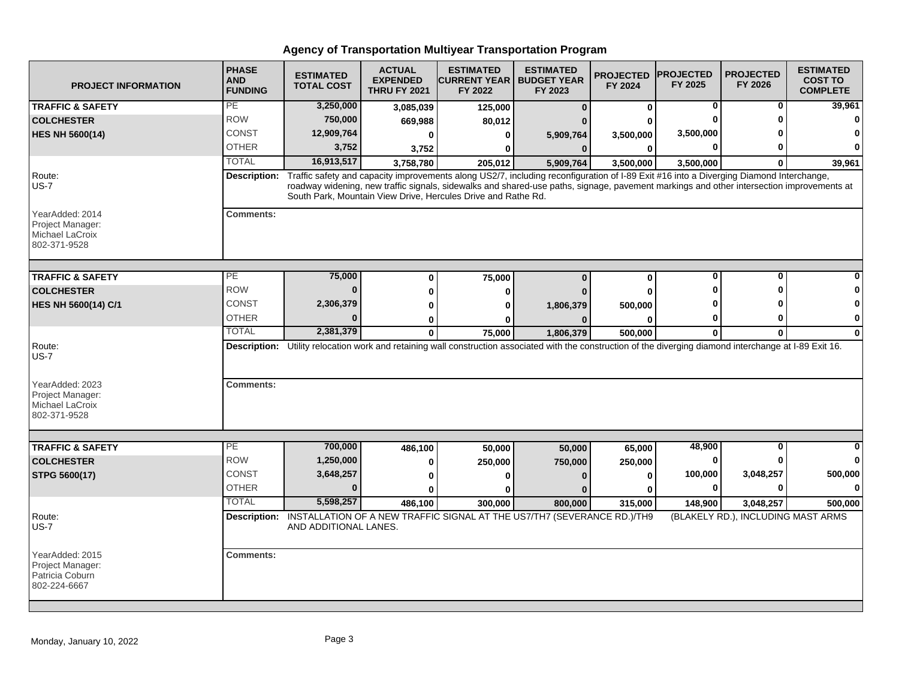| <b>PROJECT INFORMATION</b>                                             | <b>PHASE</b><br><b>AND</b><br><b>FUNDING</b> | <b>ESTIMATED</b><br><b>TOTAL COST</b> | <b>ACTUAL</b><br><b>EXPENDED</b><br><b>THRU FY 2021</b> | <b>ESTIMATED</b><br><b>CURRENT YEAR</b><br>FY 2022                                                                                                                                                                                                                                                                                                  | <b>ESTIMATED</b><br><b>BUDGET YEAR</b><br>FY 2023 | <b>PROJECTED</b><br>FY 2024 | <b>IPROJECTED</b><br>FY 2025 | <b>PROJECTED</b><br>FY 2026                     | <b>ESTIMATED</b><br><b>COST TO</b><br><b>COMPLETE</b> |
|------------------------------------------------------------------------|----------------------------------------------|---------------------------------------|---------------------------------------------------------|-----------------------------------------------------------------------------------------------------------------------------------------------------------------------------------------------------------------------------------------------------------------------------------------------------------------------------------------------------|---------------------------------------------------|-----------------------------|------------------------------|-------------------------------------------------|-------------------------------------------------------|
| <b>TRAFFIC &amp; SAFETY</b>                                            | PE                                           | 3,250,000                             | 3,085,039                                               | 125,000                                                                                                                                                                                                                                                                                                                                             | n                                                 | $\bf{0}$                    | 0                            | $\bf{0}$                                        | 39,961                                                |
| <b>COLCHESTER</b>                                                      | <b>ROW</b>                                   | 750,000                               | 669,988                                                 | 80,012                                                                                                                                                                                                                                                                                                                                              |                                                   |                             |                              | ŋ                                               | n                                                     |
| <b>HES NH 5600(14)</b>                                                 | <b>CONST</b>                                 | 12,909,764                            | O                                                       | ŋ                                                                                                                                                                                                                                                                                                                                                   | 5,909,764                                         | 3,500,000                   | 3,500,000                    |                                                 |                                                       |
|                                                                        | <b>OTHER</b>                                 | 3,752                                 | 3,752                                                   | ŋ                                                                                                                                                                                                                                                                                                                                                   | $\mathbf{0}$                                      | $\bf{0}$                    | 0                            |                                                 | O                                                     |
|                                                                        | <b>TOTAL</b>                                 | 16,913,517                            | 3,758,780                                               | 205,012                                                                                                                                                                                                                                                                                                                                             | 5,909,764                                         | 3,500,000                   | 3,500,000                    | $\Omega$                                        | 39,961                                                |
| Route:<br>$US-7$                                                       | Description:                                 |                                       |                                                         | Traffic safety and capacity improvements along US2/7, including reconfiguration of I-89 Exit #16 into a Diverging Diamond Interchange,<br>roadway widening, new traffic signals, sidewalks and shared-use paths, signage, pavement markings and other intersection improvements at<br>South Park, Mountain View Drive, Hercules Drive and Rathe Rd. |                                                   |                             |                              |                                                 |                                                       |
| YearAdded: 2014<br>Project Manager:<br>Michael LaCroix<br>802-371-9528 | <b>Comments:</b>                             |                                       |                                                         |                                                                                                                                                                                                                                                                                                                                                     |                                                   |                             |                              |                                                 |                                                       |
| <b>TRAFFIC &amp; SAFETY</b>                                            | PЕ                                           | 75,000                                | $\bf{0}$                                                | 75,000                                                                                                                                                                                                                                                                                                                                              | $\mathbf{0}$                                      | $\mathbf 0$                 | 0                            | 0                                               |                                                       |
| <b>COLCHESTER</b>                                                      | <b>ROW</b>                                   | $\Omega$                              |                                                         | ŋ                                                                                                                                                                                                                                                                                                                                                   |                                                   | ŋ                           |                              | ŋ                                               |                                                       |
| HES NH 5600(14) C/1                                                    | <b>CONST</b>                                 | 2,306,379                             |                                                         |                                                                                                                                                                                                                                                                                                                                                     | 1,806,379                                         | 500,000                     |                              |                                                 |                                                       |
|                                                                        | <b>OTHER</b>                                 |                                       | ŋ                                                       |                                                                                                                                                                                                                                                                                                                                                     |                                                   | ŋ                           | 0                            | 0                                               | 0                                                     |
|                                                                        | <b>TOTAL</b>                                 | 2,381,379                             | $\bf{0}$                                                | 75,000                                                                                                                                                                                                                                                                                                                                              | 1,806,379                                         | 500,000                     | $\bf{0}$                     | $\bf{0}$                                        | $\bf{0}$                                              |
| Route:<br><b>US-7</b>                                                  |                                              |                                       |                                                         | Description: Utility relocation work and retaining wall construction associated with the construction of the diverging diamond interchange at I-89 Exit 16.                                                                                                                                                                                         |                                                   |                             |                              |                                                 |                                                       |
| YearAdded: 2023<br>Project Manager:<br>Michael LaCroix<br>802-371-9528 | <b>Comments:</b>                             |                                       |                                                         |                                                                                                                                                                                                                                                                                                                                                     |                                                   |                             |                              |                                                 |                                                       |
|                                                                        | PE                                           |                                       |                                                         |                                                                                                                                                                                                                                                                                                                                                     |                                                   |                             |                              | $\mathbf{0}$                                    |                                                       |
| <b>TRAFFIC &amp; SAFETY</b>                                            | <b>ROW</b>                                   | 700,000<br>1,250,000                  | 486,100                                                 | 50,000                                                                                                                                                                                                                                                                                                                                              | 50,000                                            | 65,000                      | 48,900<br>0                  | <sup>0</sup>                                    | 0                                                     |
| <b>COLCHESTER</b>                                                      | <b>CONST</b>                                 | 3,648,257                             | 0                                                       | 250,000                                                                                                                                                                                                                                                                                                                                             | 750,000                                           | 250,000                     | 100,000                      | 3,048,257                                       | 500,000                                               |
| STPG 5600(17)                                                          | <b>OTHER</b>                                 | $\Omega$                              | 0                                                       |                                                                                                                                                                                                                                                                                                                                                     |                                                   | 0                           | 0                            | ŋ                                               | $\bf{0}$                                              |
|                                                                        | <b>TOTAL</b>                                 | 5,598,257                             |                                                         |                                                                                                                                                                                                                                                                                                                                                     |                                                   | ŋ                           |                              |                                                 |                                                       |
|                                                                        |                                              |                                       | 486,100                                                 | 300.000<br>Description: INSTALLATION OF A NEW TRAFFIC SIGNAL AT THE US7/TH7 (SEVERANCE RD.)/TH9                                                                                                                                                                                                                                                     | 800.000                                           | 315.000                     | 148,900                      | 3,048,257<br>(BLAKELY RD.), INCLUDING MAST ARMS | 500.000                                               |
| Route:<br><b>US-7</b>                                                  |                                              | AND ADDITIONAL LANES.                 |                                                         |                                                                                                                                                                                                                                                                                                                                                     |                                                   |                             |                              |                                                 |                                                       |
| YearAdded: 2015<br>Project Manager:<br>Patricia Coburn<br>802-224-6667 | <b>Comments:</b>                             |                                       |                                                         |                                                                                                                                                                                                                                                                                                                                                     |                                                   |                             |                              |                                                 |                                                       |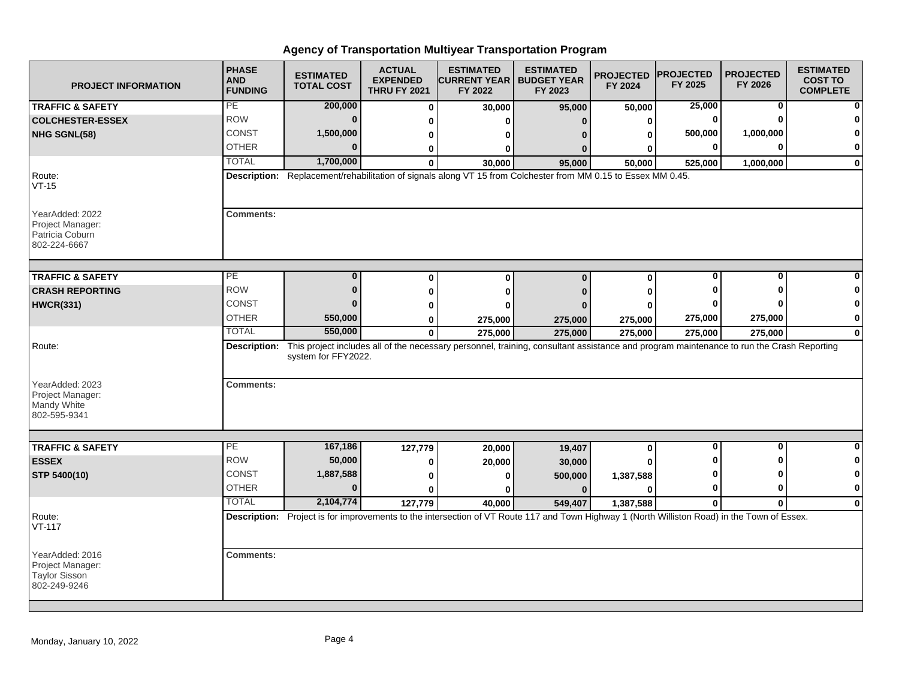| <b>PROJECT INFORMATION</b>                                                   | <b>PHASE</b><br><b>AND</b><br><b>FUNDING</b> | <b>ESTIMATED</b><br><b>TOTAL COST</b> | <b>ACTUAL</b><br><b>EXPENDED</b><br><b>THRU FY 2021</b> | <b>ESTIMATED</b><br><b>CURRENT YEAR   BUDGET YEAR</b><br>FY 2022                                                                             | <b>ESTIMATED</b><br>FY 2023 | <b>PROJECTED</b><br>FY 2024 | <b>PROJECTED</b><br>FY 2025 | <b>PROJECTED</b><br>FY 2026 | <b>ESTIMATED</b><br><b>COST TO</b><br><b>COMPLETE</b> |
|------------------------------------------------------------------------------|----------------------------------------------|---------------------------------------|---------------------------------------------------------|----------------------------------------------------------------------------------------------------------------------------------------------|-----------------------------|-----------------------------|-----------------------------|-----------------------------|-------------------------------------------------------|
| <b>TRAFFIC &amp; SAFETY</b>                                                  | <b>PE</b>                                    | 200,000                               | $\bf{0}$                                                | 30,000                                                                                                                                       | 95,000                      | 50,000                      | 25,000                      | 0                           |                                                       |
| <b>COLCHESTER-ESSEX</b>                                                      | <b>ROW</b>                                   | $\Omega$                              | 0                                                       | ŋ                                                                                                                                            | $\Omega$                    | O                           | 0                           |                             |                                                       |
| NHG SGNL(58)                                                                 | <b>CONST</b>                                 | 1,500,000                             | 0                                                       | o                                                                                                                                            |                             | n                           | 500,000                     | 1,000,000                   |                                                       |
|                                                                              | <b>OTHER</b>                                 | $\Omega$                              | 0                                                       | 0                                                                                                                                            |                             |                             |                             |                             | 0                                                     |
|                                                                              | <b>TOTAL</b>                                 | 1,700,000                             | 0                                                       | 30,000                                                                                                                                       | 95,000                      | 50,000                      | 525,000                     | 1,000,000                   | $\bf{0}$                                              |
| Route:<br>$VT-15$                                                            |                                              |                                       |                                                         | Description: Replacement/rehabilitation of signals along VT 15 from Colchester from MM 0.15 to Essex MM 0.45.                                |                             |                             |                             |                             |                                                       |
| YearAdded: 2022<br>Project Manager:<br>Patricia Coburn<br>802-224-6667       | <b>Comments:</b>                             |                                       |                                                         |                                                                                                                                              |                             |                             |                             |                             |                                                       |
| <b>TRAFFIC &amp; SAFETY</b>                                                  | PE                                           | $\bf{0}$                              | $\bf{0}$                                                | $\bf{0}$                                                                                                                                     | $\Omega$                    | $\bf{0}$                    | O                           | Ω                           |                                                       |
| <b>CRASH REPORTING</b>                                                       | <b>ROW</b>                                   | $\bf{0}$                              | $\bf{0}$                                                | 0                                                                                                                                            |                             |                             |                             |                             |                                                       |
| <b>HWCR(331)</b>                                                             | <b>CONST</b>                                 | $\Omega$                              | 0                                                       | ŋ                                                                                                                                            |                             |                             |                             |                             | ŋ                                                     |
|                                                                              | <b>OTHER</b>                                 | 550,000                               | 0                                                       | 275,000                                                                                                                                      | 275,000                     | 275,000                     | 275,000                     | 275,000                     | 0                                                     |
|                                                                              | <b>TOTAL</b>                                 | 550,000                               | $\mathbf{0}$                                            | 275,000                                                                                                                                      | 275,000                     | 275,000                     | 275,000                     | 275,000                     | 0                                                     |
| Route:<br>YearAdded: 2023<br>Project Manager:<br>Mandy White<br>802-595-9341 | Description:<br><b>Comments:</b>             | system for FFY2022.                   |                                                         | This project includes all of the necessary personnel, training, consultant assistance and program maintenance to run the Crash Reporting     |                             |                             |                             |                             |                                                       |
|                                                                              |                                              |                                       |                                                         |                                                                                                                                              |                             |                             |                             |                             |                                                       |
| <b>TRAFFIC &amp; SAFETY</b>                                                  | PE.                                          | 167,186                               | 127,779                                                 | 20,000                                                                                                                                       | 19,407                      | $\bf{0}$                    | $\bf{0}$                    | $\Omega$                    | 0                                                     |
| <b>ESSEX</b>                                                                 | <b>ROW</b>                                   | 50,000                                | 0                                                       | 20,000                                                                                                                                       | 30,000                      |                             |                             |                             | 0                                                     |
| STP 5400(10)                                                                 | <b>CONST</b>                                 | 1,887,588                             | 0                                                       | 0                                                                                                                                            | 500,000                     | 1,387,588                   |                             |                             | 0                                                     |
|                                                                              | <b>OTHER</b>                                 | $\Omega$                              | $\mathbf{0}$                                            |                                                                                                                                              | $\Omega$                    | ŋ                           | o                           | 0                           | 0                                                     |
|                                                                              | <b>TOTAL</b>                                 | 2,104,774                             | 127,779                                                 | 40,000                                                                                                                                       | 549,407                     | 1,387,588                   | $\mathbf{0}$                | $\mathbf 0$                 | $\bf{0}$                                              |
| Route:<br>$VT-117$                                                           |                                              |                                       |                                                         | Description: Project is for improvements to the intersection of VT Route 117 and Town Highway 1 (North Williston Road) in the Town of Essex. |                             |                             |                             |                             |                                                       |
| YearAdded: 2016<br>Project Manager:<br>Taylor Sisson<br>802-249-9246         | <b>Comments:</b>                             |                                       |                                                         |                                                                                                                                              |                             |                             |                             |                             |                                                       |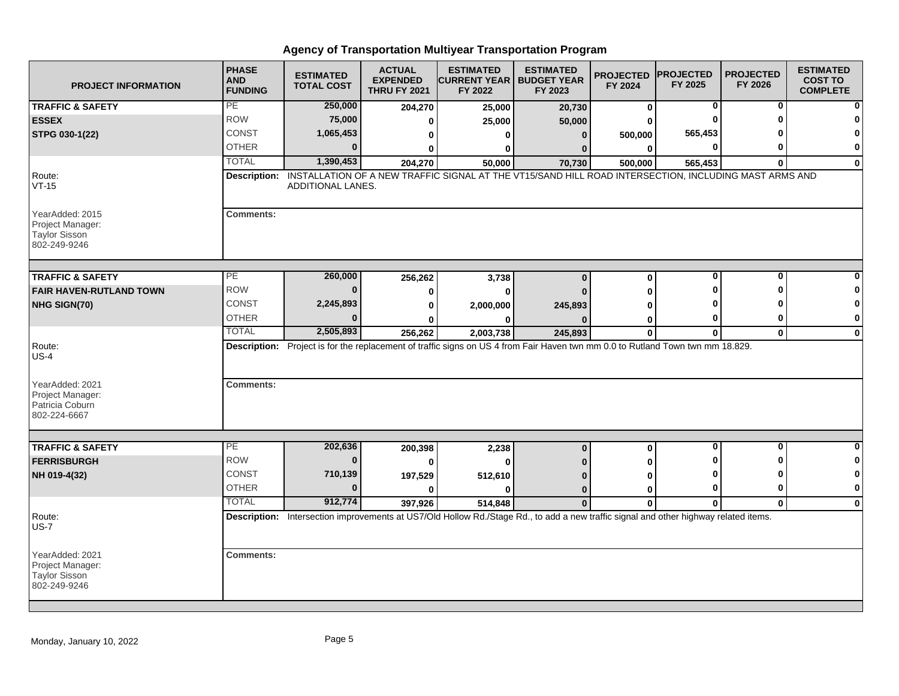| <b>PROJECT INFORMATION</b>                                                  | <b>PHASE</b><br><b>AND</b><br><b>FUNDING</b> | <b>ESTIMATED</b><br><b>TOTAL COST</b>                                                                                                | <b>ACTUAL</b><br><b>EXPENDED</b><br><b>THRU FY 2021</b> | <b>ESTIMATED</b><br><b>CURRENT YEAR   BUDGET YEAR</b><br>FY 2022 | <b>ESTIMATED</b><br>FY 2023 | <b>PROJECTED</b><br>FY 2024 | <b>PROJECTED</b><br>FY 2025 | <b>PROJECTED</b><br>FY 2026 | <b>ESTIMATED</b><br><b>COST TO</b><br><b>COMPLETE</b> |
|-----------------------------------------------------------------------------|----------------------------------------------|--------------------------------------------------------------------------------------------------------------------------------------|---------------------------------------------------------|------------------------------------------------------------------|-----------------------------|-----------------------------|-----------------------------|-----------------------------|-------------------------------------------------------|
| <b>TRAFFIC &amp; SAFETY</b>                                                 | PE                                           | 250,000                                                                                                                              | 204,270                                                 | 25,000                                                           | 20,730                      | $\bf{0}$                    | 0                           | 0                           |                                                       |
| <b>ESSEX</b>                                                                | <b>ROW</b>                                   | 75,000                                                                                                                               | 0                                                       | 25,000                                                           | 50,000                      |                             |                             |                             |                                                       |
| STPG 030-1(22)                                                              | CONST                                        | 1,065,453                                                                                                                            | 0                                                       | 0                                                                | $\bf{0}$                    | 500,000                     | 565,453                     |                             |                                                       |
|                                                                             | <b>OTHER</b>                                 | $\Omega$                                                                                                                             | 0                                                       | 0                                                                | 0                           | 0                           |                             |                             | 0                                                     |
|                                                                             | <b>TOTAL</b>                                 | 1,390,453                                                                                                                            | 204,270                                                 | 50,000                                                           | 70,730                      | 500,000                     | 565,453                     | $\Omega$                    | $\mathbf{0}$                                          |
| Route:<br>$VT-15$                                                           | Description:                                 | INSTALLATION OF A NEW TRAFFIC SIGNAL AT THE VT15/SAND HILL ROAD INTERSECTION, INCLUDING MAST ARMS AND<br>ADDITIONAL LANES.           |                                                         |                                                                  |                             |                             |                             |                             |                                                       |
| YearAdded: 2015<br>Project Manager:<br><b>Taylor Sisson</b><br>802-249-9246 | <b>Comments:</b>                             |                                                                                                                                      |                                                         |                                                                  |                             |                             |                             |                             |                                                       |
| <b>TRAFFIC &amp; SAFETY</b>                                                 | PE                                           | 260,000                                                                                                                              | 256,262                                                 | 3,738                                                            | $\Omega$                    | $\bf{0}$                    | $\bf{0}$                    | 0                           |                                                       |
| <b>FAIR HAVEN-RUTLAND TOWN</b>                                              | <b>ROW</b>                                   | $\Omega$                                                                                                                             | $\bf{0}$                                                | $\bf{0}$                                                         |                             |                             |                             |                             |                                                       |
| NHG SIGN(70)                                                                | CONST                                        | 2,245,893                                                                                                                            | $\bf{0}$                                                | 2,000,000                                                        | 245,893                     |                             |                             |                             | 0                                                     |
|                                                                             | <b>OTHER</b>                                 | $\Omega$                                                                                                                             |                                                         | 0                                                                |                             | 0                           |                             | -0                          | $\mathbf 0$                                           |
|                                                                             | <b>TOTAL</b>                                 | 2,505,893                                                                                                                            | 256,262                                                 | 2,003,738                                                        | 245,893                     | $\bf{0}$                    | 0                           | $\mathbf 0$                 | $\bf{0}$                                              |
| Route:<br>$US-4$<br>YearAdded: 2021                                         | <b>Comments:</b>                             | Description: Project is for the replacement of traffic signs on US 4 from Fair Haven twn mm 0.0 to Rutland Town twn mm 18.829.       |                                                         |                                                                  |                             |                             |                             |                             |                                                       |
| Project Manager:<br>Patricia Coburn<br>802-224-6667                         |                                              |                                                                                                                                      |                                                         |                                                                  |                             |                             |                             |                             |                                                       |
| <b>TRAFFIC &amp; SAFETY</b>                                                 | $\overline{PE}$                              | 202,636                                                                                                                              | 200,398                                                 | 2,238                                                            | $\bf{0}$                    | 0                           | ŋ                           | O                           | ŋ                                                     |
| <b>FERRISBURGH</b>                                                          | <b>ROW</b>                                   | $\bf{0}$                                                                                                                             | $\bf{0}$                                                | $\bf{0}$                                                         |                             |                             |                             |                             | 0                                                     |
| NH 019-4(32)                                                                | <b>CONST</b>                                 | 710,139                                                                                                                              | 197,529                                                 | 512,610                                                          | $\Omega$                    | Λ                           |                             |                             | 0                                                     |
|                                                                             | <b>OTHER</b>                                 | $\Omega$                                                                                                                             | $\Omega$                                                | $\bf{0}$                                                         | $\bf{0}$                    | 0                           | ŋ                           | 0                           | 0                                                     |
|                                                                             | <b>TOTAL</b>                                 | 912,774                                                                                                                              | 397,926                                                 | 514,848                                                          | $\bf{0}$                    | $\bf{0}$                    | 0                           | $\mathbf{0}$                | $\mathbf{0}$                                          |
| Route:<br>$US-7$                                                            |                                              | Description: Intersection improvements at US7/Old Hollow Rd./Stage Rd., to add a new traffic signal and other highway related items. |                                                         |                                                                  |                             |                             |                             |                             |                                                       |
| YearAdded: 2021<br>Project Manager:<br><b>Taylor Sisson</b><br>802-249-9246 | <b>Comments:</b>                             |                                                                                                                                      |                                                         |                                                                  |                             |                             |                             |                             |                                                       |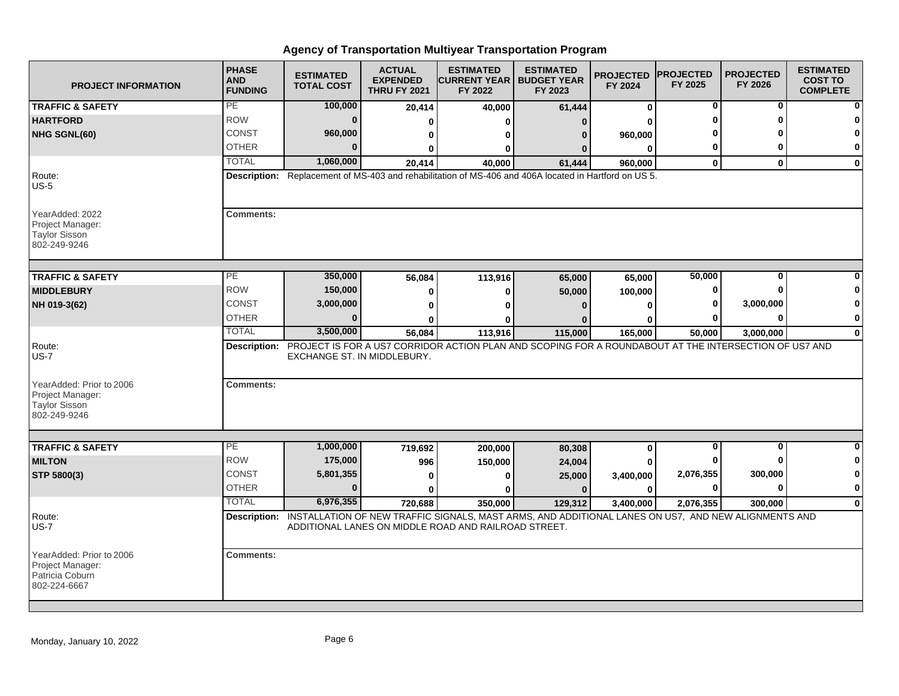| <b>PROJECT INFORMATION</b>                                                      | <b>PHASE</b><br><b>AND</b><br><b>FUNDING</b> | <b>ESTIMATED</b><br><b>TOTAL COST</b> | <b>ACTUAL</b><br><b>EXPENDED</b><br><b>THRU FY 2021</b> | <b>ESTIMATED</b><br><b>CURRENT YEAR   BUDGET YEAR</b><br>FY 2022                                                                                                         | <b>ESTIMATED</b><br>FY 2023 | <b>PROJECTED</b><br>FY 2024 | <b>PROJECTED</b><br>FY 2025 | <b>PROJECTED</b><br>FY 2026 | <b>ESTIMATED</b><br><b>COST TO</b><br><b>COMPLETE</b> |
|---------------------------------------------------------------------------------|----------------------------------------------|---------------------------------------|---------------------------------------------------------|--------------------------------------------------------------------------------------------------------------------------------------------------------------------------|-----------------------------|-----------------------------|-----------------------------|-----------------------------|-------------------------------------------------------|
| <b>TRAFFIC &amp; SAFETY</b>                                                     | PE                                           | 100,000                               | 20,414                                                  | 40,000                                                                                                                                                                   | 61,444                      | 0                           | 0                           | 0                           |                                                       |
| <b>HARTFORD</b>                                                                 | <b>ROW</b>                                   | $\bf{0}$                              | 0                                                       | ŋ                                                                                                                                                                        | n                           | U                           |                             | n                           |                                                       |
| NHG SGNL(60)                                                                    | <b>CONST</b>                                 | 960,000                               | 0                                                       | 0                                                                                                                                                                        | 0                           | 960,000                     |                             |                             | 0                                                     |
|                                                                                 | <b>OTHER</b>                                 | $\Omega$                              | ŋ                                                       | 0                                                                                                                                                                        |                             | 0                           | 0                           | n                           | 0                                                     |
|                                                                                 | <b>TOTAL</b>                                 | 1,060,000                             | 20.414                                                  | 40.000                                                                                                                                                                   | 61.444                      | 960.000                     | $\bf{0}$                    | $\mathbf{0}$                | $\bf{0}$                                              |
| Route:<br><b>US-5</b>                                                           |                                              |                                       |                                                         | Description: Replacement of MS-403 and rehabilitation of MS-406 and 406A located in Hartford on US 5.                                                                    |                             |                             |                             |                             |                                                       |
| YearAdded: 2022<br>Project Manager:<br><b>Taylor Sisson</b><br>802-249-9246     | <b>Comments:</b>                             |                                       |                                                         |                                                                                                                                                                          |                             |                             |                             |                             |                                                       |
| <b>TRAFFIC &amp; SAFETY</b>                                                     | $\overline{PE}$                              | 350,000                               | 56,084                                                  | 113,916                                                                                                                                                                  | 65,000                      | 65,000                      | 50,000                      | $\bf{0}$                    |                                                       |
| <b>MIDDLEBURY</b>                                                               | <b>ROW</b>                                   | 150,000                               | 0                                                       | 0                                                                                                                                                                        | 50,000                      | 100,000                     | O                           | n                           |                                                       |
| NH 019-3(62)                                                                    | CONST                                        | 3,000,000                             | 0                                                       | 0                                                                                                                                                                        |                             | 0                           | 0                           | 3,000,000                   | 0                                                     |
|                                                                                 | <b>OTHER</b>                                 | $\Omega$                              |                                                         | ŋ                                                                                                                                                                        |                             | 0                           |                             | $\bf{0}$                    | 0                                                     |
|                                                                                 | <b>TOTAL</b>                                 | 3,500,000                             | 56,084                                                  | 113,916                                                                                                                                                                  | 115,000                     | 165,000                     | 50,000                      | 3,000,000                   | 0                                                     |
| Route:<br><b>US-7</b>                                                           |                                              | EXCHANGE ST. IN MIDDLEBURY.           |                                                         | Description: PROJECT IS FOR A US7 CORRIDOR ACTION PLAN AND SCOPING FOR A ROUNDABOUT AT THE INTERSECTION OF US7 AND                                                       |                             |                             |                             |                             |                                                       |
| YearAdded: Prior to 2006<br>Project Manager:<br>Taylor Sisson<br>802-249-9246   | <b>Comments:</b>                             |                                       |                                                         |                                                                                                                                                                          |                             |                             |                             |                             |                                                       |
| <b>TRAFFIC &amp; SAFETY</b>                                                     | PE                                           | 1,000,000                             | 719,692                                                 | 200,000                                                                                                                                                                  | 80,308                      | 0                           | 0                           | $\bf{0}$                    | 0                                                     |
| <b>MILTON</b>                                                                   | <b>ROW</b>                                   | 175,000                               | 996                                                     | 150,000                                                                                                                                                                  | 24,004                      | U                           |                             | n                           | 0                                                     |
| STP 5800(3)                                                                     | <b>CONST</b>                                 | 5,801,355                             | 0                                                       | $\bf{0}$                                                                                                                                                                 | 25,000                      | 3,400,000                   | 2,076,355                   | 300,000                     | 0                                                     |
|                                                                                 | <b>OTHER</b>                                 | $\bf{0}$                              | 0                                                       | U                                                                                                                                                                        | $\mathbf{0}$                | 0                           | 0                           | 0                           | 0                                                     |
|                                                                                 | <b>TOTAL</b>                                 | 6,976,355                             | 720,688                                                 | 350.000                                                                                                                                                                  | 129.312                     | 3,400,000                   | 2,076,355                   | 300.000                     | $\mathbf{0}$                                          |
| Route:<br><b>US-7</b>                                                           |                                              |                                       |                                                         | Description: INSTALLATION OF NEW TRAFFIC SIGNALS, MAST ARMS, AND ADDITIONAL LANES ON US7, AND NEW ALIGNMENTS AND<br>ADDITIONAL LANES ON MIDDLE ROAD AND RAILROAD STREET. |                             |                             |                             |                             |                                                       |
| YearAdded: Prior to 2006<br>Project Manager:<br>Patricia Coburn<br>802-224-6667 | <b>Comments:</b>                             |                                       |                                                         |                                                                                                                                                                          |                             |                             |                             |                             |                                                       |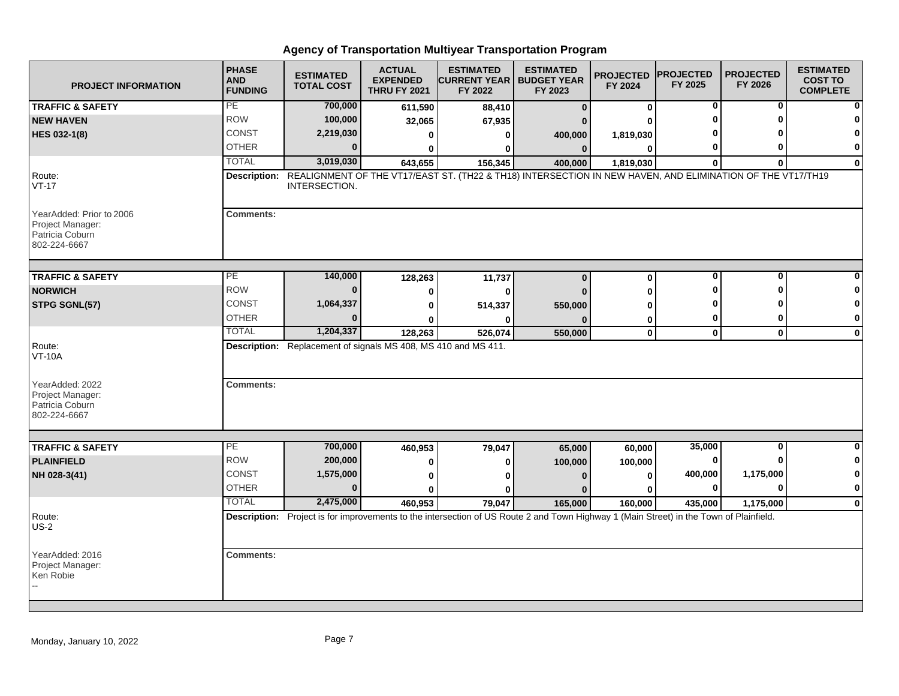| <b>PROJECT INFORMATION</b>                                                      | <b>PHASE</b><br><b>AND</b><br><b>FUNDING</b> | <b>ESTIMATED</b><br><b>TOTAL COST</b>                          | <b>ACTUAL</b><br><b>EXPENDED</b><br><b>THRU FY 2021</b> | <b>ESTIMATED</b><br><b>CURRENT YEAR   BUDGET YEAR</b><br>FY 2022 | <b>ESTIMATED</b><br>FY 2023                                                                                                            | <b>PROJECTED</b><br>FY 2024 | <b>PROJECTED</b><br>FY 2025 | <b>PROJECTED</b><br>FY 2026 | <b>ESTIMATED</b><br><b>COST TO</b><br><b>COMPLETE</b> |
|---------------------------------------------------------------------------------|----------------------------------------------|----------------------------------------------------------------|---------------------------------------------------------|------------------------------------------------------------------|----------------------------------------------------------------------------------------------------------------------------------------|-----------------------------|-----------------------------|-----------------------------|-------------------------------------------------------|
| <b>TRAFFIC &amp; SAFETY</b>                                                     | PE                                           | 700,000                                                        | 611,590                                                 | 88,410                                                           | $\mathbf{0}$                                                                                                                           | 0                           | 0                           | 0                           | ŋ                                                     |
| <b>NEW HAVEN</b>                                                                | <b>ROW</b>                                   | 100,000                                                        | 32,065                                                  | 67,935                                                           |                                                                                                                                        |                             |                             | n                           |                                                       |
| HES 032-1(8)                                                                    | <b>CONST</b>                                 | 2,219,030                                                      | O                                                       | 0                                                                | 400,000                                                                                                                                | 1,819,030                   |                             |                             | 0                                                     |
|                                                                                 | <b>OTHER</b>                                 | $\Omega$                                                       |                                                         | ŋ                                                                | $\Omega$                                                                                                                               | $\bf{0}$                    |                             | O                           | 0                                                     |
|                                                                                 | <b>TOTAL</b>                                 | 3,019,030                                                      | 643,655                                                 | 156,345                                                          | 400,000                                                                                                                                | 1,819,030                   | $\bf{0}$                    | $\Omega$                    | $\mathbf{0}$                                          |
| Route:<br>$VT-17$                                                               | Description:                                 | INTERSECTION.                                                  |                                                         |                                                                  | REALIGNMENT OF THE VT17/EAST ST. (TH22 & TH18) INTERSECTION IN NEW HAVEN, AND ELIMINATION OF THE VT17/TH19                             |                             |                             |                             |                                                       |
| YearAdded: Prior to 2006<br>Project Manager:<br>Patricia Coburn<br>802-224-6667 | <b>Comments:</b>                             |                                                                |                                                         |                                                                  |                                                                                                                                        |                             |                             |                             |                                                       |
| <b>TRAFFIC &amp; SAFETY</b>                                                     | PE                                           | 140,000                                                        | 128,263                                                 | 11,737                                                           | $\bf{0}$                                                                                                                               | 0                           | 0                           | 0                           |                                                       |
| <b>NORWICH</b>                                                                  | <b>ROW</b>                                   | $\Omega$                                                       | 0                                                       | ŋ                                                                |                                                                                                                                        | O                           |                             | n                           |                                                       |
| STPG SGNL(57)                                                                   | <b>CONST</b>                                 | 1,064,337                                                      | 0                                                       | 514,337                                                          | 550,000                                                                                                                                | ŋ                           |                             |                             | 0                                                     |
|                                                                                 | <b>OTHER</b>                                 |                                                                |                                                         |                                                                  |                                                                                                                                        | 0                           | 0                           | 0                           | 0                                                     |
|                                                                                 | <b>TOTAL</b>                                 | 1,204,337                                                      | 128,263                                                 | 526,074                                                          | 550,000                                                                                                                                | $\mathbf 0$                 | $\mathbf 0$                 | $\mathbf 0$                 | $\mathbf 0$                                           |
| Route:<br><b>VT-10A</b>                                                         |                                              | Description: Replacement of signals MS 408, MS 410 and MS 411. |                                                         |                                                                  |                                                                                                                                        |                             |                             |                             |                                                       |
| YearAdded: 2022<br>Project Manager:<br>Patricia Coburn<br>802-224-6667          | <b>Comments:</b>                             |                                                                |                                                         |                                                                  |                                                                                                                                        |                             |                             |                             |                                                       |
| <b>TRAFFIC &amp; SAFETY</b>                                                     | PE                                           | 700,000                                                        | 460,953                                                 | 79,047                                                           | 65,000                                                                                                                                 | 60,000                      | 35,000                      | $\bf{0}$                    | $\Omega$                                              |
| <b>PLAINFIELD</b>                                                               | <b>ROW</b>                                   | 200,000                                                        | 0                                                       | 0                                                                | 100,000                                                                                                                                | 100,000                     | 0                           |                             | 0                                                     |
| NH 028-3(41)                                                                    | <b>CONST</b>                                 | 1,575,000                                                      | 0                                                       |                                                                  |                                                                                                                                        | 0                           | 400,000                     | 1,175,000                   | $\pmb{0}$                                             |
|                                                                                 | <b>OTHER</b>                                 | $\bf{0}$                                                       |                                                         |                                                                  |                                                                                                                                        |                             | 0                           | $\Omega$                    | $\pmb{0}$                                             |
|                                                                                 | <b>TOTAL</b>                                 | 2,475,000                                                      | 460,953                                                 | 79,047                                                           | 165,000                                                                                                                                | 160.000                     | 435,000                     | 1,175,000                   | $\mathbf 0$                                           |
| Route:<br>$US-2$                                                                |                                              |                                                                |                                                         |                                                                  | Description: Project is for improvements to the intersection of US Route 2 and Town Highway 1 (Main Street) in the Town of Plainfield. |                             |                             |                             |                                                       |
| YearAdded: 2016<br>Project Manager:<br>Ken Robie                                | <b>Comments:</b>                             |                                                                |                                                         |                                                                  |                                                                                                                                        |                             |                             |                             |                                                       |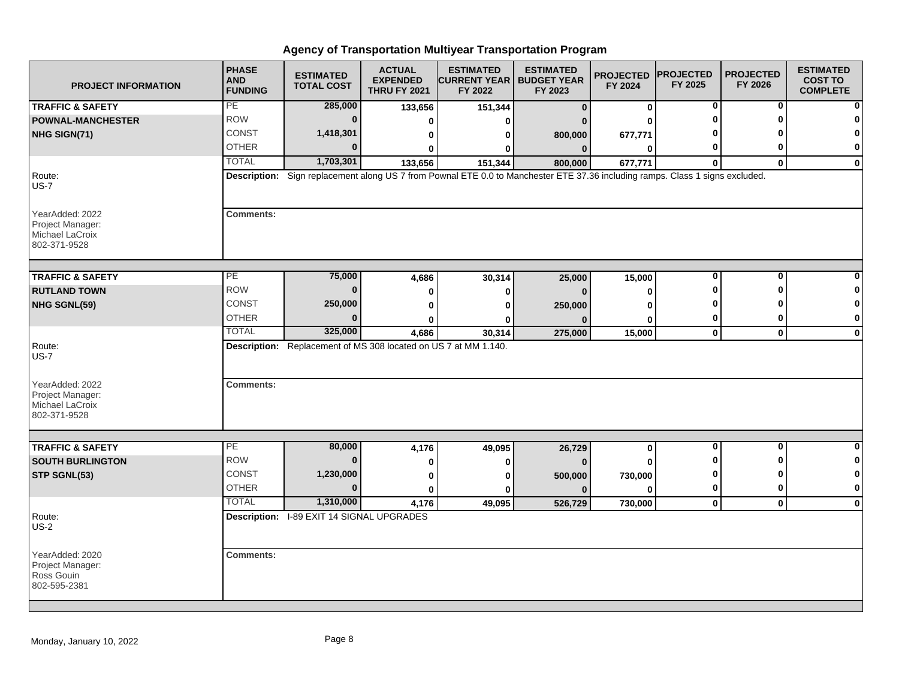| <b>PROJECT INFORMATION</b>                                             | <b>PHASE</b><br><b>AND</b><br><b>FUNDING</b> | <b>ESTIMATED</b><br><b>TOTAL COST</b>                                                                                         | <b>ACTUAL</b><br><b>EXPENDED</b><br><b>THRU FY 2021</b> | <b>ESTIMATED</b><br><b>CURRENT YEAR   BUDGET YEAR</b><br>FY 2022 | <b>ESTIMATED</b><br>FY 2023 | <b>PROJECTED</b><br>FY 2024 | <b>PROJECTED</b><br>FY 2025 | <b>PROJECTED</b><br>FY 2026 | <b>ESTIMATED</b><br><b>COST TO</b><br><b>COMPLETE</b> |
|------------------------------------------------------------------------|----------------------------------------------|-------------------------------------------------------------------------------------------------------------------------------|---------------------------------------------------------|------------------------------------------------------------------|-----------------------------|-----------------------------|-----------------------------|-----------------------------|-------------------------------------------------------|
| <b>TRAFFIC &amp; SAFETY</b>                                            | PE                                           | 285,000                                                                                                                       | 133,656                                                 | 151,344                                                          | $\mathbf{0}$                | $\bf{0}$                    | 0                           | 0                           |                                                       |
| <b>POWNAL-MANCHESTER</b>                                               | <b>ROW</b>                                   | $\Omega$                                                                                                                      | 0                                                       | ŋ                                                                |                             |                             |                             |                             |                                                       |
| NHG SIGN(71)                                                           | CONST                                        | 1,418,301                                                                                                                     | 0                                                       | 0                                                                | 800,000                     | 677,771                     |                             |                             |                                                       |
|                                                                        | <b>OTHER</b>                                 |                                                                                                                               |                                                         | ŋ                                                                | $\bf{0}$                    | O                           |                             |                             | 0                                                     |
|                                                                        | <b>TOTAL</b>                                 | 1,703,301                                                                                                                     | 133,656                                                 | 151,344                                                          | 800,000                     | 677,771                     | $\Omega$                    | $\mathbf{0}$                | $\mathbf{0}$                                          |
| Route:<br><b>US-7</b>                                                  |                                              | Description: Sign replacement along US 7 from Pownal ETE 0.0 to Manchester ETE 37.36 including ramps. Class 1 signs excluded. |                                                         |                                                                  |                             |                             |                             |                             |                                                       |
| YearAdded: 2022<br>Project Manager:<br>Michael LaCroix<br>802-371-9528 | <b>Comments:</b>                             |                                                                                                                               |                                                         |                                                                  |                             |                             |                             |                             |                                                       |
| <b>TRAFFIC &amp; SAFETY</b>                                            | PE                                           | 75,000                                                                                                                        | 4,686                                                   | 30,314                                                           | 25,000                      | 15,000                      | O                           | ŋ                           |                                                       |
| <b>RUTLAND TOWN</b>                                                    | <b>ROW</b>                                   | $\Omega$                                                                                                                      | 0                                                       | 0                                                                | $\Omega$                    | O                           |                             |                             |                                                       |
| NHG SGNL(59)                                                           | <b>CONST</b>                                 | 250,000                                                                                                                       | O                                                       | U                                                                | 250,000                     |                             |                             |                             |                                                       |
|                                                                        | <b>OTHER</b>                                 | $\Omega$                                                                                                                      |                                                         | o                                                                |                             | ŋ                           |                             |                             | 0                                                     |
|                                                                        | <b>TOTAL</b>                                 | 325,000                                                                                                                       | 4,686                                                   | 30,314                                                           | 275,000                     | 15,000                      | $\mathbf 0$                 | $\mathbf 0$                 | $\mathbf 0$                                           |
| Route:<br>$US-7$                                                       |                                              | Description: Replacement of MS 308 located on US 7 at MM 1.140.                                                               |                                                         |                                                                  |                             |                             |                             |                             |                                                       |
| YearAdded: 2022<br>Project Manager:<br>Michael LaCroix<br>802-371-9528 | <b>Comments:</b>                             |                                                                                                                               |                                                         |                                                                  |                             |                             |                             |                             |                                                       |
| <b>TRAFFIC &amp; SAFETY</b>                                            | PE                                           | 80,000                                                                                                                        | 4,176                                                   | 49,095                                                           | 26,729                      | $\bf{0}$                    | 0                           | 0                           | 0                                                     |
| <b>SOUTH BURLINGTON</b>                                                | <b>ROW</b>                                   | $\bf{0}$                                                                                                                      | 0                                                       | 0                                                                | $\Omega$                    |                             |                             |                             | 0                                                     |
| STP SGNL(53)                                                           | CONST                                        | 1,230,000                                                                                                                     | 0                                                       | 0                                                                | 500,000                     | 730,000                     |                             |                             |                                                       |
|                                                                        | <b>OTHER</b>                                 | $\Omega$                                                                                                                      | $\bf{0}$                                                | 0                                                                | $\bf{0}$                    | $\Omega$                    | 0                           | 0                           | $\mathbf 0$                                           |
|                                                                        | <b>TOTAL</b>                                 | 1,310,000                                                                                                                     | 4,176                                                   | 49,095                                                           | 526,729                     | 730,000                     | $\mathbf 0$                 | $\mathbf{0}$                | $\bf{0}$                                              |
| Route:<br>$US-2$                                                       |                                              | Description: I-89 EXIT 14 SIGNAL UPGRADES                                                                                     |                                                         |                                                                  |                             |                             |                             |                             |                                                       |
| YearAdded: 2020<br>Project Manager:<br>Ross Gouin<br>802-595-2381      | <b>Comments:</b>                             |                                                                                                                               |                                                         |                                                                  |                             |                             |                             |                             |                                                       |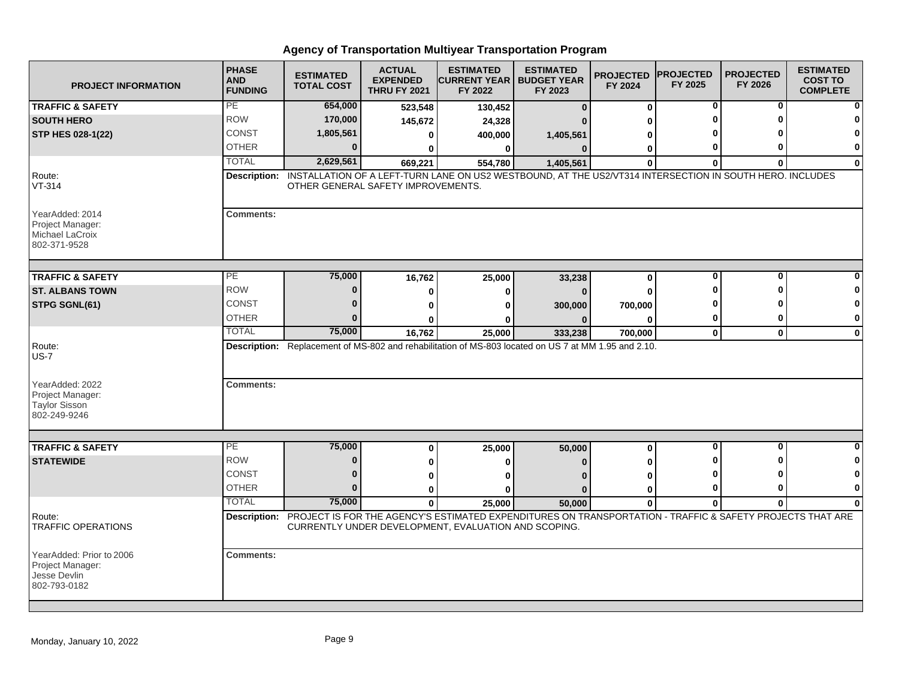| <b>PROJECT INFORMATION</b>                                                   | <b>PHASE</b><br><b>AND</b><br><b>FUNDING</b> | <b>ESTIMATED</b><br><b>TOTAL COST</b> | <b>ACTUAL</b><br><b>EXPENDED</b><br><b>THRU FY 2021</b> | <b>ESTIMATED</b><br><b>ICURRENT YEAR   BUDGET YEAR</b><br>FY 2022 | <b>ESTIMATED</b><br>FY 2023                                                                                            | <b>PROJECTED</b><br>FY 2024 | <b>PROJECTED</b><br>FY 2025 | <b>PROJECTED</b><br>FY 2026 | <b>ESTIMATED</b><br><b>COST TO</b><br><b>COMPLETE</b> |
|------------------------------------------------------------------------------|----------------------------------------------|---------------------------------------|---------------------------------------------------------|-------------------------------------------------------------------|------------------------------------------------------------------------------------------------------------------------|-----------------------------|-----------------------------|-----------------------------|-------------------------------------------------------|
| <b>TRAFFIC &amp; SAFETY</b>                                                  | PE                                           | 654,000                               | 523,548                                                 | 130,452                                                           | $\Omega$                                                                                                               | 0                           | 0                           | 0                           |                                                       |
| <b>SOUTH HERO</b>                                                            | <b>ROW</b>                                   | 170,000                               | 145,672                                                 | 24,328                                                            |                                                                                                                        | ŋ                           |                             | Λ                           |                                                       |
| STP HES 028-1(22)                                                            | <b>CONST</b>                                 | 1,805,561                             | 0                                                       | 400,000                                                           | 1,405,561                                                                                                              | 0                           |                             |                             |                                                       |
|                                                                              | <b>OTHER</b>                                 | $\mathbf{0}$                          | O                                                       | 0                                                                 | $\Omega$                                                                                                               | $\bf{0}$                    | 0                           | ŋ                           | 0                                                     |
|                                                                              | <b>TOTAL</b>                                 | 2,629,561                             | 669,221                                                 | 554,780                                                           | 1,405,561                                                                                                              | $\Omega$                    | $\mathbf{0}$                | $\bf{0}$                    | $\Omega$                                              |
| Route:<br>$VT-314$                                                           | Description:                                 | OTHER GENERAL SAFETY IMPROVEMENTS.    |                                                         |                                                                   | INSTALLATION OF A LEFT-TURN LANE ON US2 WESTBOUND, AT THE US2/VT314 INTERSECTION IN SOUTH HERO. INCLUDES               |                             |                             |                             |                                                       |
| YearAdded: 2014<br>Project Manager:<br>Michael LaCroix<br>802-371-9528       | <b>Comments:</b>                             |                                       |                                                         |                                                                   |                                                                                                                        |                             |                             |                             |                                                       |
| <b>TRAFFIC &amp; SAFETY</b>                                                  | PE.                                          | 75,000                                | 16,762                                                  | 25,000                                                            | 33,238                                                                                                                 | $\bf{0}$                    | 0                           | 0                           |                                                       |
| <b>ST. ALBANS TOWN</b>                                                       | <b>ROW</b>                                   | $\bf{0}$                              | 0                                                       | o                                                                 |                                                                                                                        | $\Omega$                    | Ω                           | ŋ                           |                                                       |
| <b>STPG SGNL(61)</b>                                                         | <b>CONST</b>                                 | n                                     | 0                                                       |                                                                   | 300,000                                                                                                                | 700,000                     |                             |                             | O                                                     |
|                                                                              | <b>OTHER</b>                                 |                                       | 0                                                       |                                                                   |                                                                                                                        | 0                           | 0                           | 0                           | 0                                                     |
|                                                                              | <b>TOTAL</b>                                 | 75,000                                | 16,762                                                  | 25.000                                                            | 333,238                                                                                                                | 700,000                     | $\mathbf{0}$                | $\mathbf{0}$                | $\mathbf{0}$                                          |
| Route:<br>$US-7$                                                             |                                              |                                       |                                                         |                                                                   | Description: Replacement of MS-802 and rehabilitation of MS-803 located on US 7 at MM 1.95 and 2.10.                   |                             |                             |                             |                                                       |
| YearAdded: 2022<br>Project Manager:<br><b>Taylor Sisson</b><br>802-249-9246  | <b>Comments:</b>                             |                                       |                                                         |                                                                   |                                                                                                                        |                             |                             |                             |                                                       |
| <b>TRAFFIC &amp; SAFETY</b>                                                  | PE                                           | 75,000                                | 0                                                       | 25,000                                                            | 50,000                                                                                                                 | 0                           | $\mathbf 0$                 | 0                           | ŋ                                                     |
| <b>STATEWIDE</b>                                                             | <b>ROW</b>                                   | $\bf{0}$                              | 0                                                       | ŋ                                                                 |                                                                                                                        | 0                           | Ω                           | U                           |                                                       |
|                                                                              | <b>CONST</b>                                 | $\Omega$                              | 0                                                       |                                                                   |                                                                                                                        | $\bf{0}$                    | Ω                           |                             |                                                       |
|                                                                              | <b>OTHER</b>                                 | $\Omega$                              | 0                                                       | ŋ                                                                 | n                                                                                                                      | $\bf{0}$                    | 0                           | O                           | 0                                                     |
|                                                                              | <b>TOTAL</b>                                 | 75,000                                | $\mathbf 0$                                             | 25,000                                                            | 50,000                                                                                                                 | $\mathbf 0$                 | $\bf{0}$                    | $\mathbf{0}$                | 0                                                     |
| Route:<br><b>TRAFFIC OPERATIONS</b>                                          |                                              |                                       |                                                         | CURRENTLY UNDER DEVELOPMENT, EVALUATION AND SCOPING.              | Description: PROJECT IS FOR THE AGENCY'S ESTIMATED EXPENDITURES ON TRANSPORTATION - TRAFFIC & SAFETY PROJECTS THAT ARE |                             |                             |                             |                                                       |
| YearAdded: Prior to 2006<br>Project Manager:<br>Jesse Devlin<br>802-793-0182 | <b>Comments:</b>                             |                                       |                                                         |                                                                   |                                                                                                                        |                             |                             |                             |                                                       |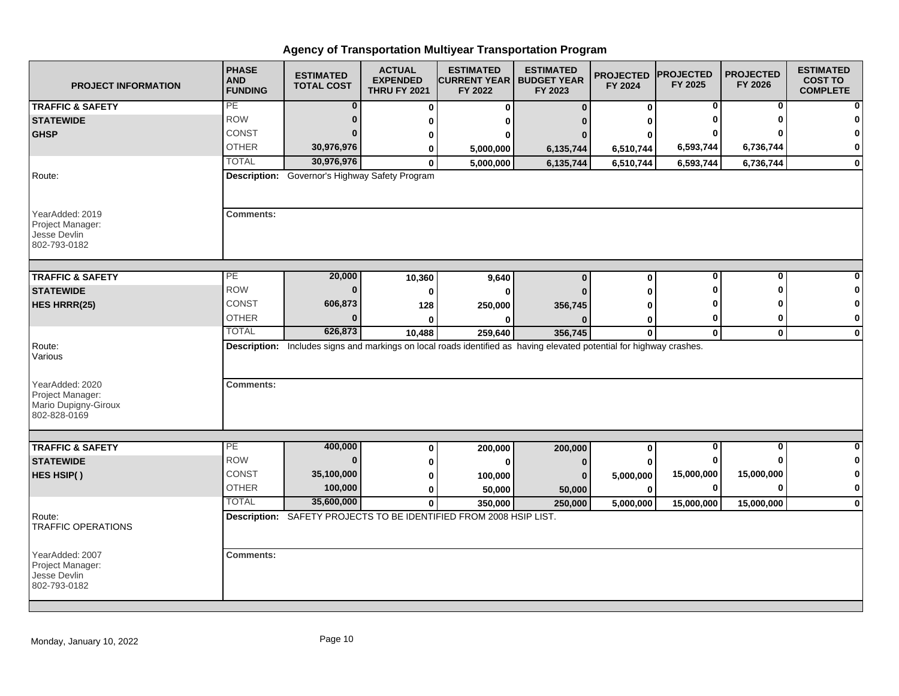| <b>PROJECT INFORMATION</b>                                          | <b>PHASE</b><br><b>AND</b><br><b>FUNDING</b> | <b>ESTIMATED</b><br><b>TOTAL COST</b>          | <b>ACTUAL</b><br><b>EXPENDED</b><br><b>THRU FY 2021</b> | <b>ESTIMATED</b><br><b>CURRENT YEAR   BUDGET YEAR</b><br>FY 2022                                                     | <b>ESTIMATED</b><br>FY 2023 | <b>PROJECTED</b><br>FY 2024 | <b>PROJECTED</b><br>FY 2025 | <b>PROJECTED</b><br>FY 2026 | <b>ESTIMATED</b><br><b>COST TO</b><br><b>COMPLETE</b> |
|---------------------------------------------------------------------|----------------------------------------------|------------------------------------------------|---------------------------------------------------------|----------------------------------------------------------------------------------------------------------------------|-----------------------------|-----------------------------|-----------------------------|-----------------------------|-------------------------------------------------------|
| <b>TRAFFIC &amp; SAFETY</b>                                         | PE                                           | $\bf{0}$                                       | $\bf{0}$                                                | $\bf{0}$                                                                                                             | $\Omega$                    | 0                           | 0                           | 0                           | $\mathbf{0}$                                          |
| <b>STATEWIDE</b>                                                    | <b>ROW</b>                                   |                                                | 0                                                       | 0                                                                                                                    |                             |                             |                             |                             | $\bf{0}$                                              |
| <b>GHSP</b>                                                         | <b>CONST</b>                                 |                                                | 0                                                       |                                                                                                                      |                             |                             |                             |                             | $\mathbf{0}$                                          |
|                                                                     | <b>OTHER</b>                                 | 30,976,976                                     | 0                                                       | 5,000,000                                                                                                            | 6,135,744                   | 6,510,744                   | 6,593,744                   | 6,736,744                   | $\mathbf{0}$                                          |
|                                                                     | <b>TOTAL</b>                                 | 30,976,976                                     | $\mathbf{0}$                                            | 5,000,000                                                                                                            | 6,135,744                   | 6,510,744                   | 6,593,744                   | 6,736,744                   | $\mathbf{0}$                                          |
| Route:                                                              |                                              | Description: Governor's Highway Safety Program |                                                         |                                                                                                                      |                             |                             |                             |                             |                                                       |
| YearAdded: 2019<br>Project Manager:<br>Jesse Devlin<br>802-793-0182 | <b>Comments:</b>                             |                                                |                                                         |                                                                                                                      |                             |                             |                             |                             |                                                       |
| <b>TRAFFIC &amp; SAFETY</b>                                         | PE                                           | 20,000                                         | 10,360                                                  | 9,640                                                                                                                | $\bf{0}$                    | $\mathbf 0$                 | 0                           | $\bf{0}$                    |                                                       |
| <b>STATEWIDE</b>                                                    | <b>ROW</b>                                   | $\Omega$                                       | $\bf{0}$                                                | $\Omega$                                                                                                             |                             | O                           | Ω                           |                             | $\bf{0}$                                              |
| HES HRRR(25)                                                        | CONST                                        | 606,873                                        | 128                                                     | 250,000                                                                                                              | 356,745                     |                             |                             |                             | $\mathbf{0}$                                          |
|                                                                     | <b>OTHER</b>                                 | $\bf{0}$                                       | 0                                                       |                                                                                                                      |                             | 0                           | 0                           |                             | $\mathbf{0}$                                          |
|                                                                     | <b>TOTAL</b>                                 | 626,873                                        | 10,488                                                  | 259,640                                                                                                              | 356,745                     | $\mathbf 0$                 | $\mathbf 0$                 | $\bf{0}$                    | $\mathbf{0}$                                          |
| Route:<br>Various<br>YearAdded: 2020                                | <b>Comments:</b>                             |                                                |                                                         | Description: Includes signs and markings on local roads identified as having elevated potential for highway crashes. |                             |                             |                             |                             |                                                       |
| Project Manager:<br>Mario Dupigny-Giroux<br>802-828-0169            |                                              |                                                |                                                         |                                                                                                                      |                             |                             |                             |                             |                                                       |
| <b>TRAFFIC &amp; SAFETY</b>                                         | PE                                           | 400,000                                        | 0                                                       | 200,000                                                                                                              | 200,000                     | $\mathbf 0$                 | 0                           | $\bf{0}$                    | $\mathbf{0}$                                          |
| <b>STATEWIDE</b>                                                    | <b>ROW</b>                                   | $\bf{0}$                                       | 0                                                       | 0                                                                                                                    | 0                           |                             |                             |                             | $\mathbf{0}$                                          |
| HES HSIP()                                                          | <b>CONST</b>                                 | 35,100,000                                     | 0                                                       | 100,000                                                                                                              | 0                           | 5,000,000                   | 15,000,000                  | 15,000,000                  | $\mathbf{0}$                                          |
|                                                                     | <b>OTHER</b>                                 | 100,000                                        | 0                                                       | 50,000                                                                                                               | 50,000                      | $\mathbf{0}$                | 0                           |                             | $\mathbf{0}$                                          |
|                                                                     | <b>TOTAL</b>                                 | 35,600,000                                     | $\mathbf{0}$                                            | 350,000                                                                                                              | 250,000                     | 5,000,000                   | 15,000,000                  | 15,000,000                  | $\mathbf{0}$                                          |
| Route:<br><b>TRAFFIC OPERATIONS</b>                                 |                                              |                                                |                                                         | Description: SAFETY PROJECTS TO BE IDENTIFIED FROM 2008 HSIP LIST.                                                   |                             |                             |                             |                             |                                                       |
| YearAdded: 2007<br>Project Manager:<br>Jesse Devlin<br>802-793-0182 | <b>Comments:</b>                             |                                                |                                                         |                                                                                                                      |                             |                             |                             |                             |                                                       |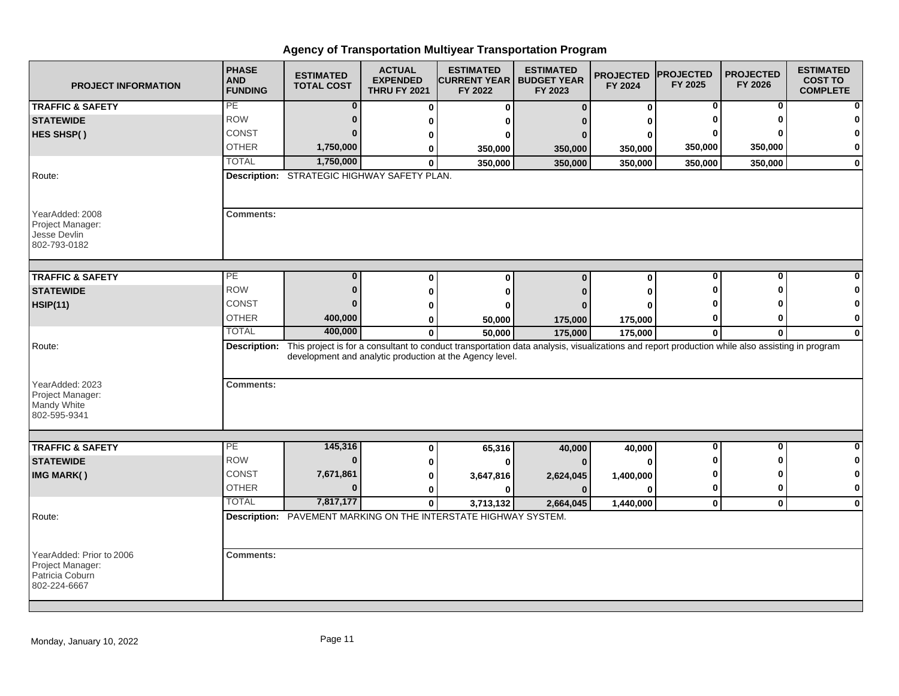| <b>PROJECT INFORMATION</b>                                                      | <b>PHASE</b><br><b>AND</b><br><b>FUNDING</b> | <b>ESTIMATED</b><br><b>TOTAL COST</b>              | <b>ACTUAL</b><br><b>EXPENDED</b><br><b>THRU FY 2021</b> | <b>ESTIMATED</b><br> CURRENT YEAR  <br>FY 2022                                                                                                                                                                          | <b>ESTIMATED</b><br><b>BUDGET YEAR</b><br>FY 2023 | <b>PROJECTED</b><br>FY 2024 | <b>PROJECTED</b><br>FY 2025 | <b>PROJECTED</b><br>FY 2026 | <b>ESTIMATED</b><br><b>COST TO</b><br><b>COMPLETE</b> |
|---------------------------------------------------------------------------------|----------------------------------------------|----------------------------------------------------|---------------------------------------------------------|-------------------------------------------------------------------------------------------------------------------------------------------------------------------------------------------------------------------------|---------------------------------------------------|-----------------------------|-----------------------------|-----------------------------|-------------------------------------------------------|
| <b>TRAFFIC &amp; SAFETY</b>                                                     | PE                                           | $\bf{0}$                                           | 0                                                       | 0                                                                                                                                                                                                                       | $\Omega$                                          | 0                           | 0                           | 0                           |                                                       |
| <b>STATEWIDE</b>                                                                | <b>ROW</b>                                   | $\bf{0}$                                           | 0                                                       |                                                                                                                                                                                                                         |                                                   | ŋ                           |                             | ŋ                           |                                                       |
| HES SHSP()                                                                      | <b>CONST</b>                                 | n                                                  | 0                                                       |                                                                                                                                                                                                                         |                                                   | O                           |                             |                             |                                                       |
|                                                                                 | <b>OTHER</b>                                 | 1,750,000                                          | 0                                                       | 350,000                                                                                                                                                                                                                 | 350,000                                           | 350,000                     | 350,000                     | 350,000                     | 0                                                     |
|                                                                                 | <b>TOTAL</b>                                 | 1,750,000                                          | $\bf{0}$                                                | 350,000                                                                                                                                                                                                                 | 350,000                                           | 350.000                     | 350,000                     | 350,000                     | $\bf{0}$                                              |
| Route:                                                                          |                                              | <b>Description:</b> STRATEGIC HIGHWAY SAFETY PLAN. |                                                         |                                                                                                                                                                                                                         |                                                   |                             |                             |                             |                                                       |
| YearAdded: 2008<br>Project Manager:<br>Jesse Devlin<br>802-793-0182             | <b>Comments:</b>                             |                                                    |                                                         |                                                                                                                                                                                                                         |                                                   |                             |                             |                             |                                                       |
| <b>TRAFFIC &amp; SAFETY</b>                                                     | PE                                           | $\bf{0}$                                           | 0                                                       | $\Omega$                                                                                                                                                                                                                | $\Omega$                                          | $\bf{0}$                    | 0                           | 0                           |                                                       |
| <b>STATEWIDE</b>                                                                | <b>ROW</b>                                   | $\Omega$                                           | 0                                                       |                                                                                                                                                                                                                         |                                                   | 0                           | ŋ                           | Λ                           |                                                       |
| <b>HSIP(11)</b>                                                                 | <b>CONST</b>                                 | n                                                  | 0                                                       |                                                                                                                                                                                                                         |                                                   | O                           |                             |                             |                                                       |
|                                                                                 | <b>OTHER</b>                                 | 400,000                                            | 0                                                       | 50,000                                                                                                                                                                                                                  | 175,000                                           | 175,000                     | 0                           | 0                           | 0                                                     |
|                                                                                 | <b>TOTAL</b>                                 | 400,000                                            | $\bf{0}$                                                | 50,000                                                                                                                                                                                                                  | 175,000                                           | 175,000                     | $\mathbf{0}$                | $\bf{0}$                    | $\bf{0}$                                              |
| Route:<br>YearAdded: 2023<br>Project Manager:<br>Mandy White                    | <b>Comments:</b>                             |                                                    |                                                         | Description: This project is for a consultant to conduct transportation data analysis, visualizations and report production while also assisting in program<br>development and analytic production at the Agency level. |                                                   |                             |                             |                             |                                                       |
| 802-595-9341                                                                    |                                              |                                                    |                                                         |                                                                                                                                                                                                                         |                                                   |                             |                             |                             |                                                       |
| <b>TRAFFIC &amp; SAFETY</b>                                                     | $\overline{PE}$                              | 145,316                                            | 0                                                       | 65,316                                                                                                                                                                                                                  | 40,000                                            | 40,000                      | $\bf{0}$                    | $\mathbf{0}$                | ŋ                                                     |
| <b>STATEWIDE</b>                                                                | <b>ROW</b>                                   | $\bf{0}$                                           | 0                                                       |                                                                                                                                                                                                                         |                                                   | $\Omega$                    | Λ                           | ŋ                           | 0                                                     |
| IMG MARK()                                                                      | <b>CONST</b>                                 | 7,671,861                                          | 0                                                       | 3,647,816                                                                                                                                                                                                               | 2,624,045                                         | 1,400,000                   | 0                           | o                           | 0                                                     |
|                                                                                 | <b>OTHER</b>                                 | $\Omega$                                           | 0                                                       |                                                                                                                                                                                                                         |                                                   | O                           | 0                           | 0                           | 0                                                     |
|                                                                                 | <b>TOTAL</b>                                 | 7,817,177                                          | $\mathbf 0$                                             | 3,713,132                                                                                                                                                                                                               | 2,664,045                                         | 1,440,000                   | $\mathbf 0$                 | $\mathbf{0}$                | $\bf{0}$                                              |
| Route:                                                                          |                                              |                                                    |                                                         | Description: PAVEMENT MARKING ON THE INTERSTATE HIGHWAY SYSTEM.                                                                                                                                                         |                                                   |                             |                             |                             |                                                       |
| YearAdded: Prior to 2006<br>Project Manager:<br>Patricia Coburn<br>802-224-6667 | <b>Comments:</b>                             |                                                    |                                                         |                                                                                                                                                                                                                         |                                                   |                             |                             |                             |                                                       |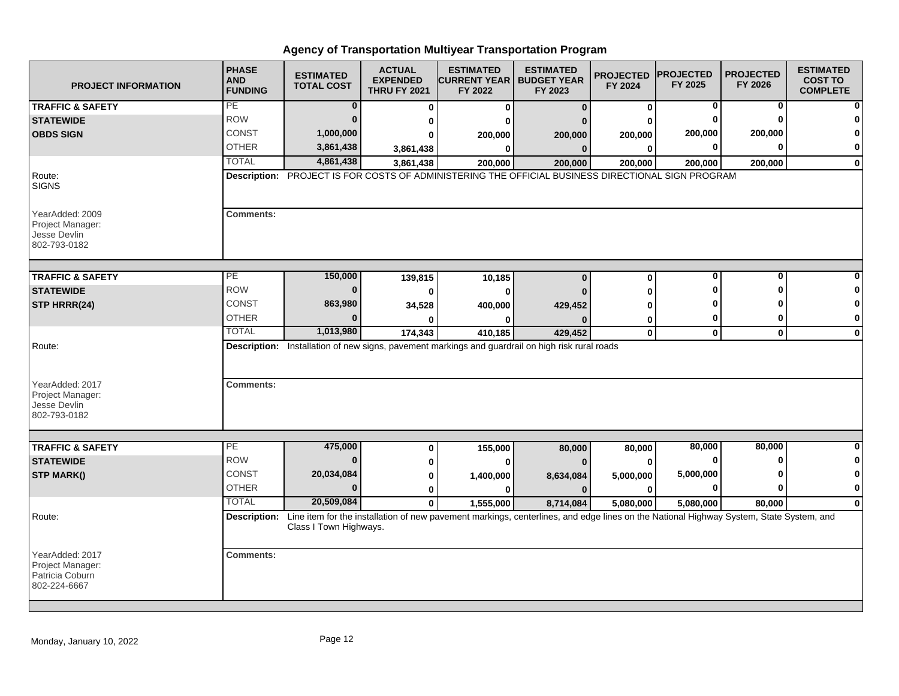| <b>PROJECT INFORMATION</b>                                                    | <b>PHASE</b><br><b>AND</b><br><b>FUNDING</b> | <b>ESTIMATED</b><br><b>TOTAL COST</b> | <b>ACTUAL</b><br><b>EXPENDED</b><br><b>THRU FY 2021</b> | <b>ESTIMATED</b><br><b>CURRENT YEAR   BUDGET YEAR</b><br>FY 2022                                                                                    | <b>ESTIMATED</b><br>FY 2023 | <b>PROJECTED</b><br>FY 2024 | <b>PROJECTED</b><br>FY 2025 | <b>PROJECTED</b><br>FY 2026 | <b>ESTIMATED</b><br><b>COST TO</b><br><b>COMPLETE</b> |
|-------------------------------------------------------------------------------|----------------------------------------------|---------------------------------------|---------------------------------------------------------|-----------------------------------------------------------------------------------------------------------------------------------------------------|-----------------------------|-----------------------------|-----------------------------|-----------------------------|-------------------------------------------------------|
| <b>TRAFFIC &amp; SAFETY</b>                                                   | PE                                           | $\bf{0}$                              | 0                                                       | 0                                                                                                                                                   | $\bf{0}$                    | 0                           | 0                           | 0                           |                                                       |
| <b>STATEWIDE</b>                                                              | <b>ROW</b>                                   | $\Omega$                              | 0                                                       |                                                                                                                                                     |                             |                             |                             |                             |                                                       |
| <b>OBDS SIGN</b>                                                              | <b>CONST</b>                                 | 1,000,000                             |                                                         | 200,000                                                                                                                                             | 200,000                     | 200,000                     | 200,000                     | 200,000                     |                                                       |
|                                                                               | <b>OTHER</b>                                 | 3,861,438                             | 3,861,438                                               | 0                                                                                                                                                   | $\bf{0}$                    | $\bf{0}$                    |                             |                             | 0                                                     |
|                                                                               | <b>TOTAL</b>                                 | 4,861,438                             | 3,861,438                                               | 200,000                                                                                                                                             | 200,000                     | 200,000                     | 200,000                     | 200,000                     | $\bf{0}$                                              |
| Route:<br><b>SIGNS</b>                                                        |                                              |                                       |                                                         | Description: PROJECT IS FOR COSTS OF ADMINISTERING THE OFFICIAL BUSINESS DIRECTIONAL SIGN PROGRAM                                                   |                             |                             |                             |                             |                                                       |
| YearAdded: 2009<br>Project Manager:<br>Jesse Devlin<br>802-793-0182           | <b>Comments:</b>                             |                                       |                                                         |                                                                                                                                                     |                             |                             |                             |                             |                                                       |
| <b>TRAFFIC &amp; SAFETY</b>                                                   | $\overline{PE}$                              | 150,000                               | 139,815                                                 | 10,185                                                                                                                                              | $\bf{0}$                    | 0                           | $\Omega$                    | ŋ                           |                                                       |
| <b>STATEWIDE</b>                                                              | <b>ROW</b>                                   | $\Omega$                              | 0                                                       | $\bf{0}$                                                                                                                                            |                             |                             |                             |                             |                                                       |
| STP HRRR(24)                                                                  | <b>CONST</b>                                 | 863,980                               | 34,528                                                  | 400,000                                                                                                                                             | 429,452                     |                             |                             |                             | ŋ                                                     |
|                                                                               | <b>OTHER</b>                                 |                                       |                                                         |                                                                                                                                                     |                             | 0                           |                             | O                           | 0                                                     |
|                                                                               | <b>TOTAL</b>                                 | 1,013,980                             | 174,343                                                 | 410,185                                                                                                                                             | 429,452                     | $\mathbf 0$                 | $\mathbf 0$                 | $\mathbf 0$                 | $\bf{0}$                                              |
| Route:<br>YearAdded: 2017<br>Project Manager:<br>Jesse Devlin<br>802-793-0182 | <b>Comments:</b>                             |                                       |                                                         | Description: Installation of new signs, pavement markings and guardrail on high risk rural roads                                                    |                             |                             |                             |                             |                                                       |
|                                                                               |                                              |                                       |                                                         |                                                                                                                                                     |                             |                             |                             |                             |                                                       |
| <b>TRAFFIC &amp; SAFETY</b>                                                   | PE                                           | 475,000                               | $\bf{0}$                                                | 155,000                                                                                                                                             | 80,000                      | 80,000                      | 80,000                      | 80,000                      | O                                                     |
| <b>STATEWIDE</b>                                                              | <b>ROW</b>                                   | $\bf{0}$                              | 0                                                       | $\bf{0}$                                                                                                                                            | $\Omega$                    | $\bf{0}$                    | O                           |                             |                                                       |
| <b>STP MARK()</b>                                                             | <b>CONST</b>                                 | 20,034,084                            | 0                                                       | 1,400,000                                                                                                                                           | 8,634,084                   | 5,000,000                   | 5,000,000                   |                             |                                                       |
|                                                                               | <b>OTHER</b>                                 | $\Omega$                              | 0                                                       | 0                                                                                                                                                   | $\bf{0}$                    | 0                           |                             |                             | $\bf{0}$                                              |
|                                                                               | <b>TOTAL</b>                                 | 20,509,084                            | $\mathbf{0}$                                            | 1,555,000                                                                                                                                           | 8,714,084                   | 5,080,000                   | 5,080,000                   | 80,000                      | $\Omega$                                              |
| Route:                                                                        |                                              | Class I Town Highways.                |                                                         | Description: Line item for the installation of new pavement markings, centerlines, and edge lines on the National Highway System, State System, and |                             |                             |                             |                             |                                                       |
| YearAdded: 2017<br>Project Manager:<br>Patricia Coburn<br>802-224-6667        | <b>Comments:</b>                             |                                       |                                                         |                                                                                                                                                     |                             |                             |                             |                             |                                                       |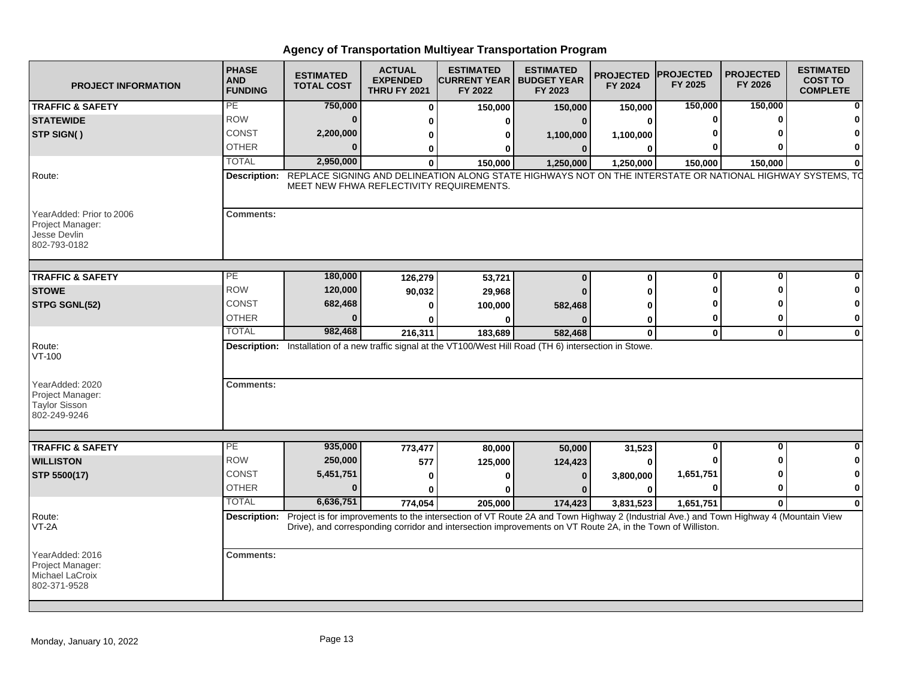| <b>PROJECT INFORMATION</b>                                                   | <b>PHASE</b><br><b>AND</b><br><b>FUNDING</b> | <b>ESTIMATED</b><br><b>TOTAL COST</b>    | <b>ACTUAL</b><br><b>EXPENDED</b><br><b>THRU FY 2021</b> | <b>ESTIMATED</b><br><b>ICURRENT YEAR I BUDGET YEAR</b><br>FY 2022 | <b>ESTIMATED</b><br>FY 2023                                                                                                           | <b>PROJECTED</b><br>FY 2024 | <b>PROJECTED</b><br>FY 2025 | <b>PROJECTED</b><br>FY 2026 | <b>ESTIMATED</b><br><b>COST TO</b><br><b>COMPLETE</b> |
|------------------------------------------------------------------------------|----------------------------------------------|------------------------------------------|---------------------------------------------------------|-------------------------------------------------------------------|---------------------------------------------------------------------------------------------------------------------------------------|-----------------------------|-----------------------------|-----------------------------|-------------------------------------------------------|
| <b>TRAFFIC &amp; SAFETY</b>                                                  | PE                                           | 750,000                                  | $\Omega$                                                | 150,000                                                           | 150,000                                                                                                                               | 150,000                     | 150,000                     | 150,000                     |                                                       |
| <b>STATEWIDE</b>                                                             | <b>ROW</b>                                   | $\bf{0}$                                 |                                                         | ŋ                                                                 | 0                                                                                                                                     | 0                           | $\bf{0}$                    | $\Omega$                    |                                                       |
| <b>STP SIGN()</b>                                                            | CONST                                        | 2,200,000                                |                                                         | ŋ                                                                 | 1,100,000                                                                                                                             | 1,100,000                   |                             |                             |                                                       |
|                                                                              | <b>OTHER</b>                                 | $\Omega$                                 | 0                                                       | ŋ                                                                 | $\Omega$                                                                                                                              | $\bf{0}$                    |                             |                             | 0                                                     |
|                                                                              | <b>TOTAL</b>                                 | 2,950,000                                | $\mathbf{0}$                                            | 150,000                                                           | 1,250,000                                                                                                                             | 1,250,000                   | 150,000                     | 150.000                     |                                                       |
| Route:                                                                       | <b>Description:</b>                          | MEET NEW FHWA REFLECTIVITY REQUIREMENTS. |                                                         |                                                                   | REPLACE SIGNING AND DELINEATION ALONG STATE HIGHWAYS NOT ON THE INTERSTATE OR NATIONAL HIGHWAY SYSTEMS, TO                            |                             |                             |                             |                                                       |
| YearAdded: Prior to 2006<br>Project Manager:<br>Jesse Devlin<br>802-793-0182 | <b>Comments:</b>                             |                                          |                                                         |                                                                   |                                                                                                                                       |                             |                             |                             |                                                       |
| <b>TRAFFIC &amp; SAFETY</b>                                                  | PE                                           | 180,000                                  | 126,279                                                 | 53,721                                                            | $\bf{0}$                                                                                                                              | $\bf{0}$                    | 0                           | $\bf{0}$                    |                                                       |
| <b>STOWE</b>                                                                 | <b>ROW</b>                                   | 120,000                                  | 90,032                                                  | 29,968                                                            | $\Omega$                                                                                                                              |                             | n                           | $\Omega$                    | 0                                                     |
| STPG SGNL(52)                                                                | <b>CONST</b>                                 | 682,468                                  | O                                                       | 100,000                                                           | 582,468                                                                                                                               | ŋ                           |                             |                             | 0                                                     |
|                                                                              | <b>OTHER</b>                                 | $\Omega$                                 |                                                         |                                                                   |                                                                                                                                       | 0                           | 0                           | 0                           | 0                                                     |
|                                                                              | <b>TOTAL</b>                                 | 982,468                                  | 216,311                                                 | 183,689                                                           | 582,468                                                                                                                               | $\mathbf{0}$                | $\mathbf{0}$                | $\mathbf{0}$                | $\mathbf{0}$                                          |
| Route:<br>$VT-100$                                                           |                                              |                                          |                                                         |                                                                   | Description: Installation of a new traffic signal at the VT100/West Hill Road (TH 6) intersection in Stowe.                           |                             |                             |                             |                                                       |
| YearAdded: 2020<br>Project Manager:<br>Taylor Sisson<br>802-249-9246         | <b>Comments:</b>                             |                                          |                                                         |                                                                   |                                                                                                                                       |                             |                             |                             |                                                       |
| <b>TRAFFIC &amp; SAFETY</b>                                                  | $\overline{PE}$                              | 935,000                                  |                                                         |                                                                   |                                                                                                                                       |                             | 0                           | $\bf{0}$                    | 0                                                     |
| <b>WILLISTON</b>                                                             | <b>ROW</b>                                   | 250,000                                  | 773,477                                                 | 80,000                                                            | 50,000                                                                                                                                | 31,523<br>$\bf{0}$          |                             | ŋ                           | 0                                                     |
| STP 5500(17)                                                                 | <b>CONST</b>                                 | 5,451,751                                | 577<br>O                                                | 125,000                                                           | 124,423<br>$\bf{0}$                                                                                                                   |                             | 1,651,751                   | 0                           | 0                                                     |
|                                                                              | <b>OTHER</b>                                 | $\bf{0}$                                 | $\bf{0}$                                                |                                                                   |                                                                                                                                       | 3,800,000<br>$\mathbf{0}$   | 0                           | $\bf{0}$                    | $\mathbf 0$                                           |
|                                                                              | <b>TOTAL</b>                                 | 6,636,751                                | 774,054                                                 | 205,000                                                           | 174,423                                                                                                                               | 3,831,523                   | 1,651,751                   | $\Omega$                    | $\Omega$                                              |
| Route:                                                                       | <b>Description:</b>                          |                                          |                                                         |                                                                   | Project is for improvements to the intersection of VT Route 2A and Town Highway 2 (Industrial Ave.) and Town Highway 4 (Mountain View |                             |                             |                             |                                                       |
| VT-2A                                                                        |                                              |                                          |                                                         |                                                                   | Drive), and corresponding corridor and intersection improvements on VT Route 2A, in the Town of Williston.                            |                             |                             |                             |                                                       |
| YearAdded: 2016<br>Project Manager:<br>Michael LaCroix<br>802-371-9528       | <b>Comments:</b>                             |                                          |                                                         |                                                                   |                                                                                                                                       |                             |                             |                             |                                                       |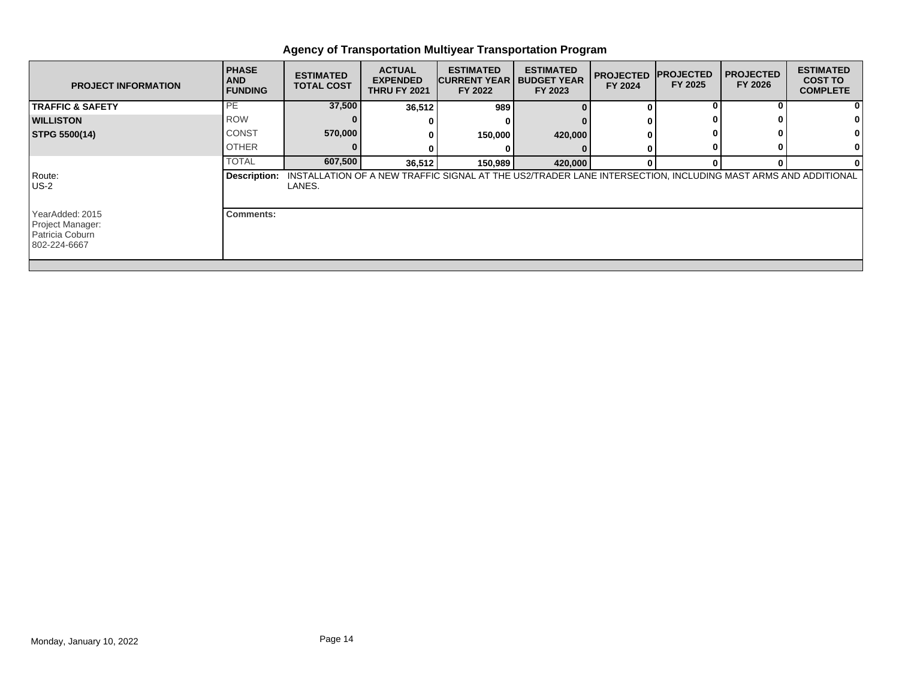| <b>PROJECT INFORMATION</b>                                             | <b>PHASE</b><br><b>AND</b><br><b>FUNDING</b> | <b>ESTIMATED</b><br><b>TOTAL COST</b> | <b>ACTUAL</b><br><b>EXPENDED</b><br><b>THRU FY 2021</b> | <b>ESTIMATED</b><br><b>CURRENT YEAR   BUDGET YEAR</b><br>FY 2022 | <b>ESTIMATED</b><br>FY 2023                                                                                  | <b>PROJECTED</b><br>FY 2024 | <b>IPROJECTED</b><br>FY 2025 | <b>I PROJECTED</b><br>FY 2026 | <b>ESTIMATED</b><br><b>COST TO</b><br><b>COMPLETE</b> |
|------------------------------------------------------------------------|----------------------------------------------|---------------------------------------|---------------------------------------------------------|------------------------------------------------------------------|--------------------------------------------------------------------------------------------------------------|-----------------------------|------------------------------|-------------------------------|-------------------------------------------------------|
| <b>TRAFFIC &amp; SAFETY</b>                                            | PE                                           | 37,500                                | 36,512                                                  | 989                                                              |                                                                                                              | $\Omega$                    |                              |                               | 0                                                     |
| <b>WILLISTON</b>                                                       | <b>ROW</b>                                   |                                       |                                                         |                                                                  |                                                                                                              |                             |                              |                               |                                                       |
| STPG 5500(14)                                                          | <b>CONST</b>                                 | 570,000                               |                                                         | 150,000                                                          | 420,000                                                                                                      |                             |                              |                               | 0                                                     |
|                                                                        | <b>OTHER</b>                                 |                                       |                                                         |                                                                  |                                                                                                              |                             |                              |                               | 0                                                     |
|                                                                        | <b>TOTAL</b>                                 | 607,500                               | 36,512                                                  | 150,989                                                          | 420,000                                                                                                      | $\mathbf{0}$                |                              |                               | 0                                                     |
| Route:<br>$US-2$                                                       | Description:                                 | LANES.                                |                                                         |                                                                  | INSTALLATION OF A NEW TRAFFIC SIGNAL AT THE US2/TRADER LANE INTERSECTION, INCLUDING MAST ARMS AND ADDITIONAL |                             |                              |                               |                                                       |
| YearAdded: 2015<br>Project Manager:<br>Patricia Coburn<br>802-224-6667 | Comments:                                    |                                       |                                                         |                                                                  |                                                                                                              |                             |                              |                               |                                                       |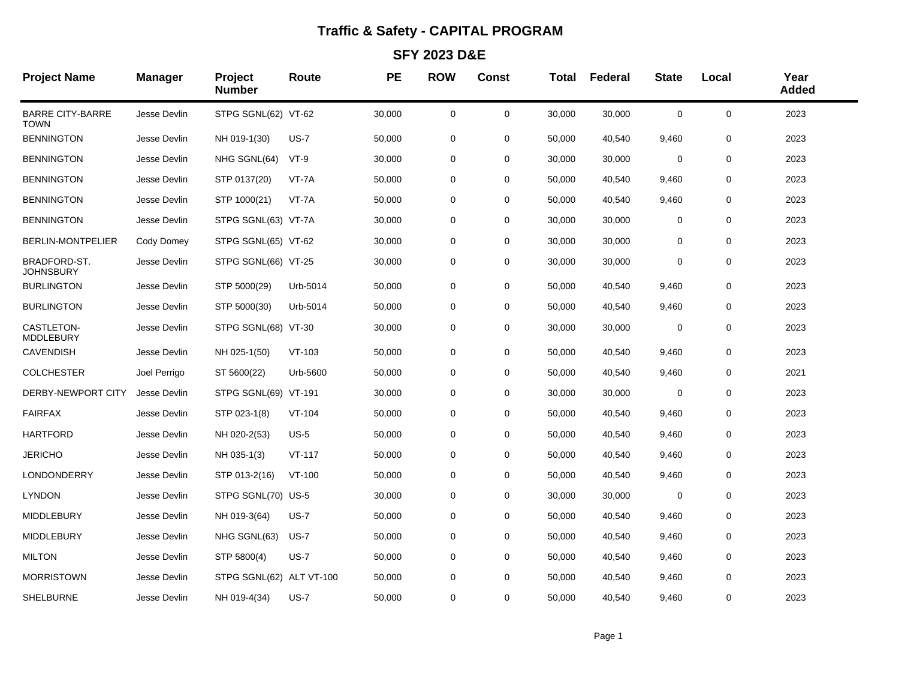## **Traffic & Safety - CAPITAL PROGRAM**

**SFY 2023 D&E**

| <b>Project Name</b>              | <b>Manager</b> | Project<br><b>Number</b> | Route       | <b>PE</b> | <b>ROW</b>  | <b>Const</b> | <b>Total</b> | Federal | <b>State</b> | Local       | Year<br><b>Added</b> |
|----------------------------------|----------------|--------------------------|-------------|-----------|-------------|--------------|--------------|---------|--------------|-------------|----------------------|
| <b>BARRE CITY-BARRE</b><br>TOWN  | Jesse Devlin   | STPG SGNL(62) VT-62      |             | 30,000    | 0           | 0            | 30,000       | 30,000  | 0            | 0           | 2023                 |
| <b>BENNINGTON</b>                | Jesse Devlin   | NH 019-1(30)             | <b>US-7</b> | 50,000    | 0           | 0            | 50,000       | 40,540  | 9,460        | 0           | 2023                 |
| <b>BENNINGTON</b>                | Jesse Devlin   | NHG SGNL(64)             | $VT-9$      | 30,000    | 0           | 0            | 30,000       | 30,000  | 0            | 0           | 2023                 |
| <b>BENNINGTON</b>                | Jesse Devlin   | STP 0137(20)             | VT-7A       | 50,000    | 0           | 0            | 50,000       | 40,540  | 9,460        | 0           | 2023                 |
| <b>BENNINGTON</b>                | Jesse Devlin   | STP 1000(21)             | VT-7A       | 50,000    | 0           | $\mathbf 0$  | 50,000       | 40,540  | 9,460        | $\mathbf 0$ | 2023                 |
| <b>BENNINGTON</b>                | Jesse Devlin   | STPG SGNL(63) VT-7A      |             | 30,000    | 0           | $\mathbf 0$  | 30,000       | 30,000  | $\mathbf 0$  | 0           | 2023                 |
| BERLIN-MONTPELIER                | Cody Domey     | STPG SGNL(65) VT-62      |             | 30,000    | 0           | 0            | 30,000       | 30,000  | $\mathbf 0$  | 0           | 2023                 |
| BRADFORD-ST.<br><b>JOHNSBURY</b> | Jesse Devlin   | STPG SGNL(66) VT-25      |             | 30,000    | 0           | 0            | 30,000       | 30,000  | 0            | 0           | 2023                 |
| <b>BURLINGTON</b>                | Jesse Devlin   | STP 5000(29)             | Urb-5014    | 50,000    | 0           | $\mathbf 0$  | 50,000       | 40,540  | 9,460        | 0           | 2023                 |
| <b>BURLINGTON</b>                | Jesse Devlin   | STP 5000(30)             | Urb-5014    | 50,000    | 0           | 0            | 50,000       | 40,540  | 9,460        | 0           | 2023                 |
| CASTLETON-<br>MDDLEBURY          | Jesse Devlin   | STPG SGNL(68) VT-30      |             | 30,000    | 0           | $\mathbf 0$  | 30,000       | 30,000  | 0            | 0           | 2023                 |
| <b>CAVENDISH</b>                 | Jesse Devlin   | NH 025-1(50)             | $VT-103$    | 50,000    | 0           | 0            | 50,000       | 40,540  | 9,460        | 0           | 2023                 |
| <b>COLCHESTER</b>                | Joel Perrigo   | ST 5600(22)              | Urb-5600    | 50,000    | 0           | $\mathbf 0$  | 50,000       | 40,540  | 9,460        | 0           | 2021                 |
| DERBY-NEWPORT CITY               | Jesse Devlin   | STPG SGNL(69) VT-191     |             | 30,000    | 0           | 0            | 30,000       | 30,000  | 0            | 0           | 2023                 |
| <b>FAIRFAX</b>                   | Jesse Devlin   | STP 023-1(8)             | $VT-104$    | 50,000    | 0           | 0            | 50,000       | 40,540  | 9,460        | $\mathbf 0$ | 2023                 |
| <b>HARTFORD</b>                  | Jesse Devlin   | NH 020-2(53)             | $US-5$      | 50,000    | 0           | 0            | 50,000       | 40,540  | 9,460        | 0           | 2023                 |
| <b>JERICHO</b>                   | Jesse Devlin   | NH 035-1(3)              | $VT-117$    | 50,000    | 0           | $\mathbf 0$  | 50,000       | 40,540  | 9,460        | 0           | 2023                 |
| LONDONDERRY                      | Jesse Devlin   | STP 013-2(16)            | $VT-100$    | 50,000    | 0           | 0            | 50,000       | 40,540  | 9,460        | 0           | 2023                 |
| <b>LYNDON</b>                    | Jesse Devlin   | STPG SGNL(70) US-5       |             | 30,000    | 0           | $\mathbf 0$  | 30,000       | 30,000  | 0            | $\mathbf 0$ | 2023                 |
| MIDDLEBURY                       | Jesse Devlin   | NH 019-3(64)             | <b>US-7</b> | 50,000    | 0           | 0            | 50,000       | 40,540  | 9,460        | 0           | 2023                 |
| <b>MIDDLEBURY</b>                | Jesse Devlin   | NHG SGNL(63)             | <b>US-7</b> | 50,000    | 0           | 0            | 50,000       | 40,540  | 9,460        | 0           | 2023                 |
| <b>MILTON</b>                    | Jesse Devlin   | STP 5800(4)              | $US-7$      | 50,000    | 0           | 0            | 50,000       | 40,540  | 9,460        | 0           | 2023                 |
| <b>MORRISTOWN</b>                | Jesse Devlin   | STPG SGNL(62) ALT VT-100 |             | 50,000    | 0           | $\mathbf 0$  | 50,000       | 40,540  | 9,460        | 0           | 2023                 |
| <b>SHELBURNE</b>                 | Jesse Devlin   | NH 019-4(34)             | $US-7$      | 50,000    | $\mathbf 0$ | $\mathbf 0$  | 50,000       | 40,540  | 9,460        | 0           | 2023                 |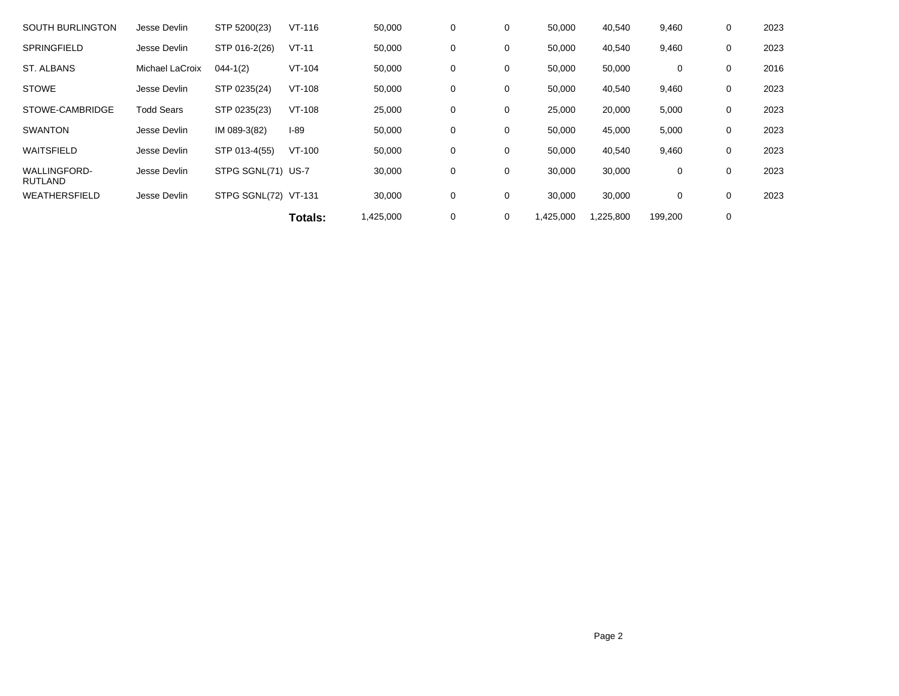| <b>SOUTH BURLINGTON</b>               | Jesse Devlin      | STP 5200(23)         | $VT-116$ | 50,000    | 0 | 0 | 50,000   | 40,540   | 9,460   | 0 | 2023 |
|---------------------------------------|-------------------|----------------------|----------|-----------|---|---|----------|----------|---------|---|------|
| <b>SPRINGFIELD</b>                    | Jesse Devlin      | STP 016-2(26)        | $VT-11$  | 50,000    | 0 | 0 | 50,000   | 40,540   | 9,460   | 0 | 2023 |
| ST. ALBANS                            | Michael LaCroix   | $044 - 1(2)$         | $VT-104$ | 50,000    | 0 | 0 | 50,000   | 50,000   | 0       | 0 | 2016 |
| <b>STOWE</b>                          | Jesse Devlin      | STP 0235(24)         | $VT-108$ | 50,000    | 0 | 0 | 50,000   | 40,540   | 9,460   | 0 | 2023 |
| STOWE-CAMBRIDGE                       | <b>Todd Sears</b> | STP 0235(23)         | $VT-108$ | 25,000    | 0 | 0 | 25,000   | 20,000   | 5,000   | 0 | 2023 |
| <b>SWANTON</b>                        | Jesse Devlin      | IM 089-3(82)         | $I-89$   | 50,000    | 0 | 0 | 50,000   | 45,000   | 5,000   | 0 | 2023 |
| WAITSFIELD                            | Jesse Devlin      | STP 013-4(55)        | $VT-100$ | 50,000    | 0 | 0 | 50,000   | 40,540   | 9,460   | 0 | 2023 |
| <b>WALLINGFORD-</b><br><b>RUTLAND</b> | Jesse Devlin      | STPG SGNL(71) US-7   |          | 30,000    | 0 | 0 | 30,000   | 30,000   | 0       | 0 | 2023 |
| <b>WEATHERSFIELD</b>                  | Jesse Devlin      | STPG SGNL(72) VT-131 |          | 30,000    | 0 | 0 | 30,000   | 30,000   | 0       | 0 | 2023 |
|                                       |                   |                      | Totals:  | 1,425,000 | 0 | 0 | ,425,000 | ,225,800 | 199,200 | 0 |      |